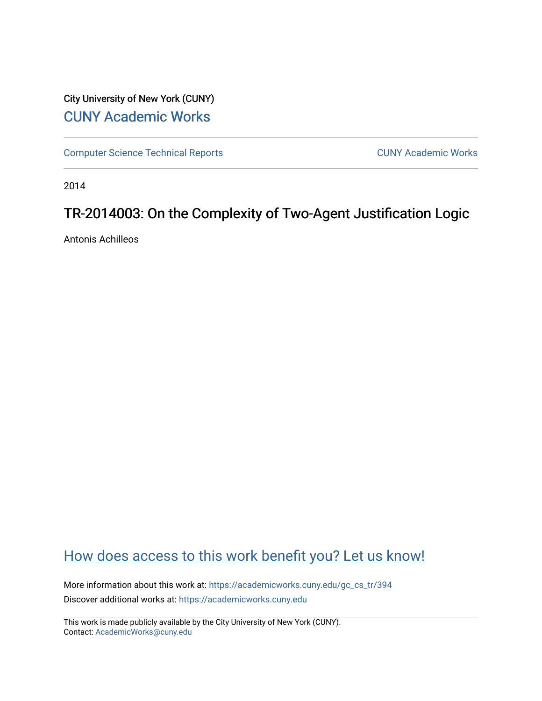## City University of New York (CUNY) [CUNY Academic Works](https://academicworks.cuny.edu/)

[Computer Science Technical Reports](https://academicworks.cuny.edu/gc_cs_tr) **CUNY Academic Works** CUNY Academic Works

2014

## TR-2014003: On the Complexity of Two-Agent Justification Logic

Antonis Achilleos

# [How does access to this work benefit you? Let us know!](http://ols.cuny.edu/academicworks/?ref=https://academicworks.cuny.edu/gc_cs_tr/394)

More information about this work at: [https://academicworks.cuny.edu/gc\\_cs\\_tr/394](https://academicworks.cuny.edu/gc_cs_tr/394)  Discover additional works at: [https://academicworks.cuny.edu](https://academicworks.cuny.edu/?)

This work is made publicly available by the City University of New York (CUNY). Contact: [AcademicWorks@cuny.edu](mailto:AcademicWorks@cuny.edu)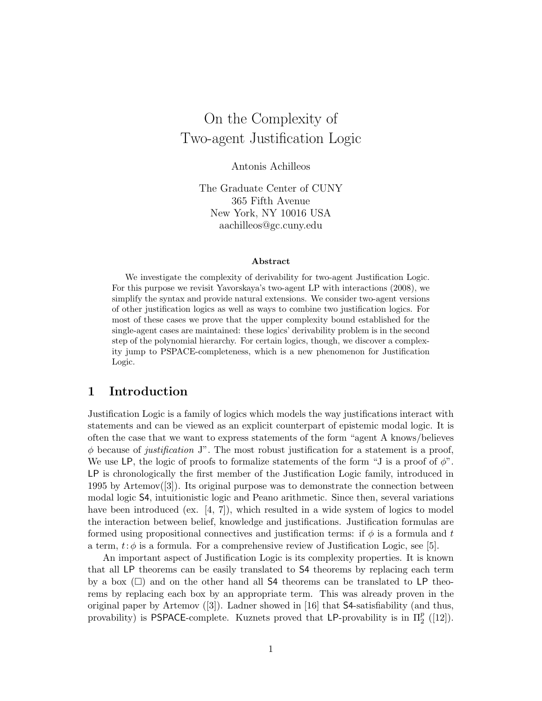# On the Complexity of Two-agent Justification Logic

Antonis Achilleos

The Graduate Center of CUNY 365 Fifth Avenue New York, NY 10016 USA aachilleos@gc.cuny.edu

#### Abstract

We investigate the complexity of derivability for two-agent Justification Logic. For this purpose we revisit Yavorskaya's two-agent LP with interactions (2008), we simplify the syntax and provide natural extensions. We consider two-agent versions of other justification logics as well as ways to combine two justification logics. For most of these cases we prove that the upper complexity bound established for the single-agent cases are maintained: these logics' derivability problem is in the second step of the polynomial hierarchy. For certain logics, though, we discover a complexity jump to PSPACE-completeness, which is a new phenomenon for Justification Logic.

## 1 Introduction

Justification Logic is a family of logics which models the way justifications interact with statements and can be viewed as an explicit counterpart of epistemic modal logic. It is often the case that we want to express statements of the form "agent A knows/believes  $\phi$  because of *justification* J". The most robust justification for a statement is a proof, We use LP, the logic of proofs to formalize statements of the form "J is a proof of  $\phi$ ". LP is chronologically the first member of the Justification Logic family, introduced in 1995 by Artemov([3]). Its original purpose was to demonstrate the connection between modal logic S4, intuitionistic logic and Peano arithmetic. Since then, several variations have been introduced (ex. [4, 7]), which resulted in a wide system of logics to model the interaction between belief, knowledge and justifications. Justification formulas are formed using propositional connectives and justification terms: if  $\phi$  is a formula and t a term,  $t: \phi$  is a formula. For a comprehensive review of Justification Logic, see [5].

An important aspect of Justification Logic is its complexity properties. It is known that all LP theorems can be easily translated to S4 theorems by replacing each term by a box  $(\Box)$  and on the other hand all S4 theorems can be translated to LP theorems by replacing each box by an appropriate term. This was already proven in the original paper by Artemov  $([3])$ . Ladner showed in [16] that **S4**-satisfiability (and thus, provability) is PSPACE-complete. Kuznets proved that LP-provability is in  $\Pi_2^p$  ([12]).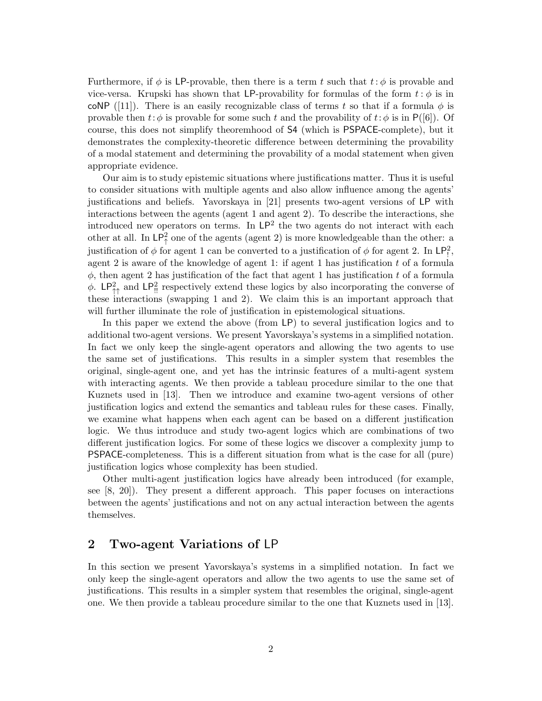Furthermore, if  $\phi$  is LP-provable, then there is a term t such that  $t:\phi$  is provable and vice-versa. Krupski has shown that LP-provability for formulas of the form  $t : \phi$  is in coNP ([11]). There is an easily recognizable class of terms t so that if a formula  $\phi$  is provable then  $t: \phi$  is provable for some such t and the provability of  $t: \phi$  is in P([6]). Of course, this does not simplify theoremhood of S4 (which is PSPACE-complete), but it demonstrates the complexity-theoretic difference between determining the provability of a modal statement and determining the provability of a modal statement when given appropriate evidence.

Our aim is to study epistemic situations where justifications matter. Thus it is useful to consider situations with multiple agents and also allow influence among the agents' justifications and beliefs. Yavorskaya in [21] presents two-agent versions of LP with interactions between the agents (agent 1 and agent 2). To describe the interactions, she introduced new operators on terms. In  $\mathsf{LP}^2$  the two agents do not interact with each other at all. In  $\mathsf{LP}_\uparrow^2$  one of the agents (agent 2) is more knowledgeable than the other: a justification of  $\phi$  for agent 1 can be converted to a justification of  $\phi$  for agent 2. In LP<sup>2</sup><sub>1</sub>, agent 2 is aware of the knowledge of agent 1: if agent 1 has justification  $t$  of a formula  $\phi$ , then agent 2 has justification of the fact that agent 1 has justification t of a formula  $\phi$ . LP<sup>2</sup><sub>11</sub> and LP<sup>2</sup><sub>11</sub> respectively extend these logics by also incorporating the converse of these interactions (swapping 1 and 2). We claim this is an important approach that will further illuminate the role of justification in epistemological situations.

In this paper we extend the above (from LP) to several justification logics and to additional two-agent versions. We present Yavorskaya's systems in a simplified notation. In fact we only keep the single-agent operators and allowing the two agents to use the same set of justifications. This results in a simpler system that resembles the original, single-agent one, and yet has the intrinsic features of a multi-agent system with interacting agents. We then provide a tableau procedure similar to the one that Kuznets used in [13]. Then we introduce and examine two-agent versions of other justification logics and extend the semantics and tableau rules for these cases. Finally, we examine what happens when each agent can be based on a different justification logic. We thus introduce and study two-agent logics which are combinations of two different justification logics. For some of these logics we discover a complexity jump to PSPACE-completeness. This is a different situation from what is the case for all (pure) justification logics whose complexity has been studied.

Other multi-agent justification logics have already been introduced (for example, see [8, 20]). They present a different approach. This paper focuses on interactions between the agents' justifications and not on any actual interaction between the agents themselves.

## 2 Two-agent Variations of LP

In this section we present Yavorskaya's systems in a simplified notation. In fact we only keep the single-agent operators and allow the two agents to use the same set of justifications. This results in a simpler system that resembles the original, single-agent one. We then provide a tableau procedure similar to the one that Kuznets used in [13].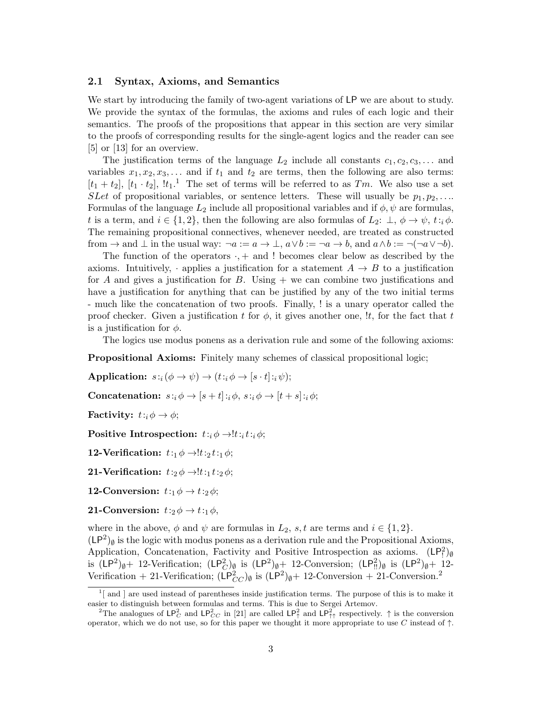### 2.1 Syntax, Axioms, and Semantics

We start by introducing the family of two-agent variations of LP we are about to study. We provide the syntax of the formulas, the axioms and rules of each logic and their semantics. The proofs of the propositions that appear in this section are very similar to the proofs of corresponding results for the single-agent logics and the reader can see [5] or [13] for an overview.

The justification terms of the language  $L_2$  include all constants  $c_1, c_2, c_3, \ldots$  and variables  $x_1, x_2, x_3, \ldots$  and if  $t_1$  and  $t_2$  are terms, then the following are also terms:  $[t_1 + t_2]$ ,  $[t_1 \cdot t_2]$ ,  $[t_1 \cdot t_1]$ . The set of terms will be referred to as  $Tm$ . We also use a set SLet of propositional variables, or sentence letters. These will usually be  $p_1, p_2, \ldots$ Formulas of the language  $L_2$  include all propositional variables and if  $\phi, \psi$  are formulas, t is a term, and  $i \in \{1,2\}$ , then the following are also formulas of  $L_2: \perp, \phi \rightarrow \psi$ ,  $t :_{i} \phi$ . The remaining propositional connectives, whenever needed, are treated as constructed from  $\rightarrow$  and  $\bot$  in the usual way:  $\neg a := a \rightarrow \bot$ ,  $a \lor b := \neg a \rightarrow b$ , and  $a \land b := \neg (\neg a \lor \neg b)$ .

The function of the operators  $\cdot$ ,  $+$  and  $\cdot$ ! becomes clear below as described by the axioms. Intuitively, · applies a justification for a statement  $A \rightarrow B$  to a justification for A and gives a justification for B. Using  $+$  we can combine two justifications and have a justification for anything that can be justified by any of the two initial terms - much like the concatenation of two proofs. Finally, ! is a unary operator called the proof checker. Given a justification t for  $\phi$ , it gives another one, !t, for the fact that t is a justification for  $\phi$ .

The logics use modus ponens as a derivation rule and some of the following axioms:

Propositional Axioms: Finitely many schemes of classical propositional logic;

Application:  $s:_{i}(\phi \rightarrow \psi) \rightarrow (t:_{i} \phi \rightarrow [s:t]:_{i} \psi);$ 

Concatenation:  $s: i \phi \rightarrow [s+t]: i \phi, s: i \phi \rightarrow [t+s]: i \phi;$ 

**Factivity:**  $t: i \phi \rightarrow \phi$ ;

Positive Introspection:  $t: i \phi \rightarrow !t : i t : i \phi;$ 

12-Verification:  $t:1 \phi \rightarrow t:2 t:1 \phi$ ;

21-Verification:  $t:2\phi \rightarrow !t:1 t:2\phi$ ;

12-Conversion:  $t:1 \phi \rightarrow t:2 \phi$ ;

**21-Conversion:**  $t:2 \phi \rightarrow t:1 \phi$ ,

where in the above,  $\phi$  and  $\psi$  are formulas in  $L_2$ , s, t are terms and  $i \in \{1,2\}$ .

 $(LP<sup>2</sup>)<sub>0</sub>$  is the logic with modus ponens as a derivation rule and the Propositional Axioms, Application, Concatenation, Factivity and Positive Introspection as axioms.  $(LP_1^2)_{\emptyset}$ is  $(LP^2)_{\emptyset} + 12$ -Verification;  $(LP^2)_{\emptyset}$  is  $(LP^2)_{\emptyset} + 12$ -Conversion;  $(LP^2)_{\emptyset}$  is  $(LP^2)_{\emptyset} + 12$ -Verification + 21-Verification;  $(LP_{CC}^2)_{\emptyset}$  is  $(LP^2)_{\emptyset}$  + 12-Conversion + 21-Conversion.<sup>2</sup>

 $1$ [ and ] are used instead of parentheses inside justification terms. The purpose of this is to make it easier to distinguish between formulas and terms. This is due to Sergei Artemov.

<sup>&</sup>lt;sup>2</sup>The analogues of  $\mathsf{LP}_C^2$  and  $\mathsf{LP}_{CC}^2$  in [21] are called  $\mathsf{LP}_\uparrow^2$  and  $\mathsf{LP}_{\uparrow\uparrow}^2$  respectively.  $\uparrow$  is the conversion operator, which we do not use, so for this paper we thought it more appropriate to use *C* instead of ↑.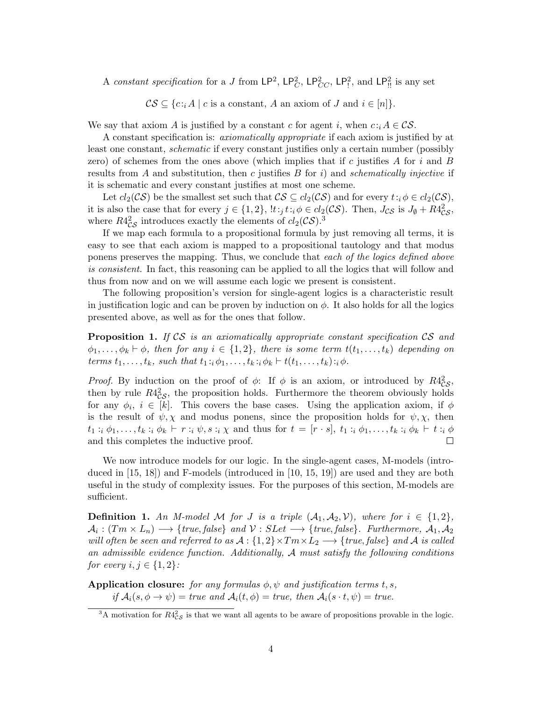A constant specification for a J from  $\mathsf{LP}^2$ ,  $\mathsf{LP}^2_C$ ,  $\mathsf{LP}^2_{CC}$ ,  $\mathsf{LP}^2_{\mathsf{I}}$ , and  $\mathsf{LP}^2_{\mathsf{II}}$  is any set

 $\mathcal{CS} \subseteq \{c : i \in [n]\}.$ 

We say that axiom A is justified by a constant c for agent i, when  $c : i A \in \mathcal{CS}$ .

A constant specification is: axiomatically appropriate if each axiom is justified by at least one constant, schematic if every constant justifies only a certain number (possibly zero) of schemes from the ones above (which implies that if c justifies  $A$  for  $i$  and  $B$ results from A and substitution, then c justifies  $B$  for i) and schematically injective if it is schematic and every constant justifies at most one scheme.

Let  $cl_2(\mathcal{CS})$  be the smallest set such that  $\mathcal{CS} \subseteq cl_2(\mathcal{CS})$  and for every  $t : i \phi \in cl_2(\mathcal{CS})$ , it is also the case that for every  $j \in \{1,2\}$ ,  $!t:j \, t:j \, \phi \in cl_2(\mathcal{CS})$ . Then,  $J_{\mathcal{CS}}$  is  $J_{\emptyset} + R4_{\mathcal{CS}}^2$ , where  $R4^2_{CS}$  introduces exactly the elements of  $cl_2(\mathcal{CS})$ .<sup>3</sup>

If we map each formula to a propositional formula by just removing all terms, it is easy to see that each axiom is mapped to a propositional tautology and that modus ponens preserves the mapping. Thus, we conclude that each of the logics defined above is consistent. In fact, this reasoning can be applied to all the logics that will follow and thus from now and on we will assume each logic we present is consistent.

The following proposition's version for single-agent logics is a characteristic result in justification logic and can be proven by induction on  $\phi$ . It also holds for all the logics presented above, as well as for the ones that follow.

Proposition 1. If CS is an axiomatically appropriate constant specification CS and  $\phi_1, \ldots, \phi_k \vdash \phi$ , then for any  $i \in \{1,2\}$ , there is some term  $t(t_1, \ldots, t_k)$  depending on terms  $t_1, \ldots, t_k$ , such that  $t_1 :_{i} \phi_1, \ldots, t_k :_{i} \phi_k \vdash t(t_1, \ldots, t_k) :_{i} \phi$ .

*Proof.* By induction on the proof of  $\phi$ : If  $\phi$  is an axiom, or introduced by  $R4_{CS}^2$ , then by rule  $R4^2_{CS}$ , the proposition holds. Furthermore the theorem obviously holds for any  $\phi_i, i \in [k]$ . This covers the base cases. Using the application axiom, if  $\phi$ is the result of  $\psi$ ,  $\chi$  and modus ponens, since the proposition holds for  $\psi$ ,  $\chi$ , then  $t_1 : i \phi_1, \ldots, t_k : i \phi_k \vdash r : i \psi, s : i \chi$  and thus for  $t = [r \cdot s], t_1 : i \phi_1, \ldots, t_k : i \phi_k \vdash t : i \phi_k$ and this completes the inductive proof. П

We now introduce models for our logic. In the single-agent cases, M-models (introduced in [15, 18]) and F-models (introduced in [10, 15, 19]) are used and they are both useful in the study of complexity issues. For the purposes of this section, M-models are sufficient.

**Definition 1.** An M-model M for J is a triple  $(A_1, A_2, V)$ , where for  $i \in \{1,2\}$ ,  $\mathcal{A}_i : (Tm \times L_n) \longrightarrow \{true, false\}$  and  $\mathcal{V} : SLet \longrightarrow \{true, false\}$ . Furthermore,  $\mathcal{A}_1, \mathcal{A}_2$ will often be seen and referred to as  $A: \{1,2\} \times Tm \times L_2 \longrightarrow \{true, false\}$  and A is called an admissible evidence function. Additionally,  $A$  must satisfy the following conditions for every  $i, j \in \{1, 2\}$ :

Application closure: for any formulas  $\phi$ ,  $\psi$  and justification terms t, s, if  $A_i(s, \phi \to \psi) = \text{true}$  and  $A_i(t, \phi) = \text{true}$ , then  $A_i(s \cdot t, \psi) = \text{true}$ .

<sup>&</sup>lt;sup>3</sup>A motivation for  $R4_{\mathcal{CS}}^2$  is that we want all agents to be aware of propositions provable in the logic.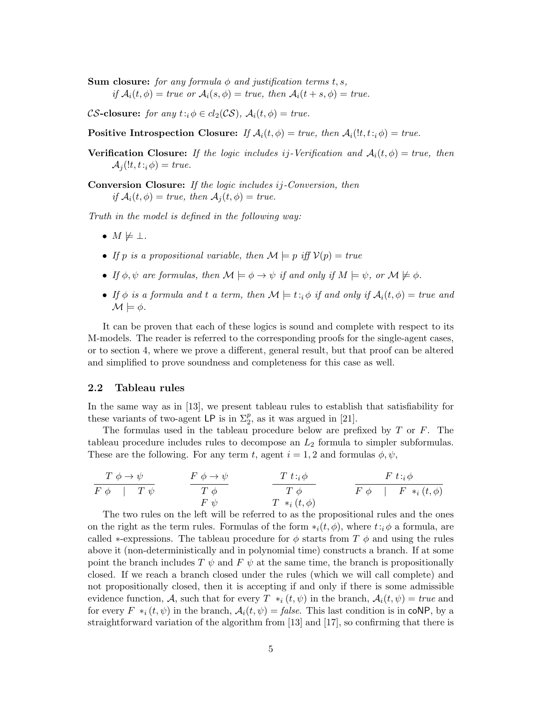**Sum closure:** for any formula  $\phi$  and justification terms t, s, if  $A_i(t, \phi) = true \text{ or } A_i(s, \phi) = true, \text{ then } A_i(t + s, \phi) = true.$ 

CS-closure: for any  $t : \phi \in cl_2(\mathcal{CS})$ ,  $\mathcal{A}_i(t, \phi) = \text{true}$ .

Positive Introspection Closure: If  $\mathcal{A}_i(t, \phi) = \text{true}$ , then  $\mathcal{A}_i(t, t_i, \phi) = \text{true}$ .

**Verification Closure:** If the logic includes ij-Verification and  $A_i(t, \phi) = true$ , then  $\mathcal{A}_i(lt,t_i;\phi) = true.$ 

Conversion Closure: If the logic includes ij-Conversion, then if  $A_i(t, \phi) = true$ , then  $A_i(t, \phi) = true$ .

Truth in the model is defined in the following way:

- $M \not\models \bot$ .
- If p is a propositional variable, then  $\mathcal{M} \models p$  iff  $\mathcal{V}(p) = true$
- If  $\phi, \psi$  are formulas, then  $\mathcal{M} \models \phi \rightarrow \psi$  if and only if  $M \models \psi$ , or  $\mathcal{M} \not\models \phi$ .
- If  $\phi$  is a formula and t a term, then  $\mathcal{M} \models t :_{i} \phi$  if and only if  $\mathcal{A}_i(t, \phi) = true$  and  $\mathcal{M} \models \phi$ .

It can be proven that each of these logics is sound and complete with respect to its M-models. The reader is referred to the corresponding proofs for the single-agent cases, or to section 4, where we prove a different, general result, but that proof can be altered and simplified to prove soundness and completeness for this case as well.

#### 2.2 Tableau rules

In the same way as in [13], we present tableau rules to establish that satisfiability for these variants of two-agent LP is in  $\Sigma_2^p$ , as it was argued in [21].

The formulas used in the tableau procedure below are prefixed by  $T$  or  $F$ . The tableau procedure includes rules to decompose an  $L_2$  formula to simpler subformulas. These are the following. For any term t, agent  $i = 1, 2$  and formulas  $\phi, \psi$ ,

$$
\frac{T \phi \to \psi}{F \phi \quad | \quad T \psi} \qquad \frac{F \phi \to \psi}{T \phi} \qquad \frac{T t :_{i} \phi}{T \phi} \qquad \frac{F t :_{i} \phi}{F \phi \quad | \quad F *_{i} (t, \phi)}
$$
\n
$$
F \psi \qquad \qquad T *_{i} (t, \phi)
$$

The two rules on the left will be referred to as the propositional rules and the ones on the right as the term rules. Formulas of the form  $*_i(t, \phi)$ , where  $t : i \phi$  a formula, are called  $*$ -expressions. The tableau procedure for  $\phi$  starts from T  $\phi$  and using the rules above it (non-deterministically and in polynomial time) constructs a branch. If at some point the branch includes T  $\psi$  and F  $\psi$  at the same time, the branch is propositionally closed. If we reach a branch closed under the rules (which we will call complete) and not propositionally closed, then it is accepting if and only if there is some admissible evidence function, A, such that for every  $T *_{i} (t, \psi)$  in the branch,  $A_{i}(t, \psi) = true$  and for every  $F *_{i} (t, \psi)$  in the branch,  $\mathcal{A}_{i}(t, \psi) = false$ . This last condition is in coNP, by a straightforward variation of the algorithm from [13] and [17], so confirming that there is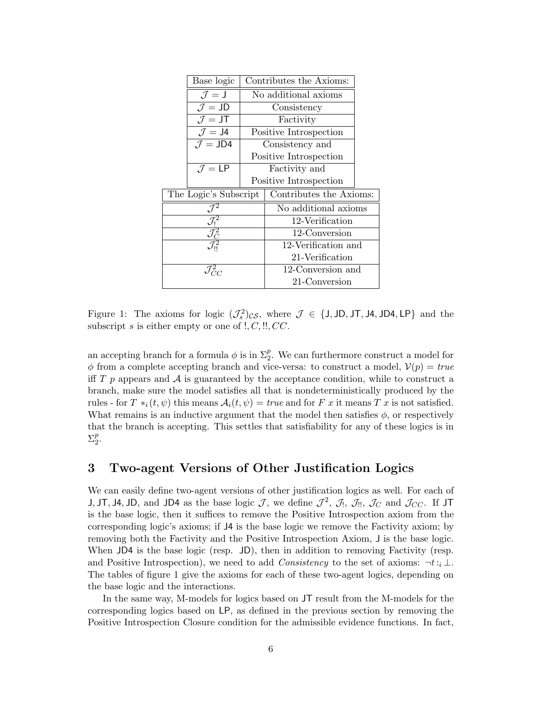|                                                                  | Base logic                  | Contributes the Axioms: |                        |  |
|------------------------------------------------------------------|-----------------------------|-------------------------|------------------------|--|
|                                                                  | $\mathcal{J}=\mathsf{J}$    | No additional axioms    |                        |  |
|                                                                  | $J = JD$                    | Consistency             |                        |  |
|                                                                  | $\mathcal{J} = JT$          | Factivity               |                        |  |
|                                                                  | $\mathcal{J} = \mathsf{J}4$ | Positive Introspection  |                        |  |
|                                                                  | $\mathcal{J} =$ JD4         | Consistency and         |                        |  |
|                                                                  |                             | Positive Introspection  |                        |  |
|                                                                  | $\mathcal{J} = \mathsf{LP}$ | Factivity and           |                        |  |
|                                                                  |                             |                         | Positive Introspection |  |
| The Logic's Subscript                                            |                             | Contributes the Axioms: |                        |  |
| $\mathcal{J}^2$                                                  |                             | No additional axioms    |                        |  |
|                                                                  |                             | 12-Verification         |                        |  |
| $\frac{\overline{\mathcal{J}^2_{\rm I}}}{\mathcal{J}^2_{\rm C}}$ |                             | 12-Conversion           |                        |  |
|                                                                  |                             | 12-Verification and     |                        |  |
|                                                                  |                             | 21-Verification         |                        |  |
| $\mathcal{J}_{C\varOmega}^2$                                     |                             | 12-Conversion and       |                        |  |
|                                                                  |                             | 21-Conversion           |                        |  |

Figure 1: The axioms for logic  $(\mathcal{J}_s^2)_{CS}$ , where  $\mathcal{J} \in \{J, JD, JT, JA, JD4, LP\}$  and the subscript s is either empty or one of  $!, C, \ldots, CC$ .

an accepting branch for a formula  $\phi$  is in  $\Sigma_2^p$ . We can furthermore construct a model for  $\phi$  from a complete accepting branch and vice-versa: to construct a model,  $\mathcal{V}(p) = true$ iff  $T$  p appears and  $\mathcal A$  is guaranteed by the acceptance condition, while to construct a branch, make sure the model satisfies all that is nondeterministically produced by the rules - for  $T *_{i}(t, \psi)$  this means  $\mathcal{A}_{i}(t, \psi) = true$  and for F x it means T x is not satisfied. What remains is an inductive argument that the model then satisfies  $\phi$ , or respectively that the branch is accepting. This settles that satisfiability for any of these logics is in  $\Sigma_2^p$ .

## 3 Two-agent Versions of Other Justification Logics

We can easily define two-agent versions of other justification logics as well. For each of J, JT, J4, JD, and JD4 as the base logic  $\mathcal{J}$ , we define  $\mathcal{J}^2$ ,  $\mathcal{J}_1$ ,  $\mathcal{J}_2$ ,  $\mathcal{J}_3$ ,  $\mathcal{J}_4$ , and  $\mathcal{J}_{CC}$ . If JT is the base logic, then it suffices to remove the Positive Introspection axiom from the corresponding logic's axioms; if J4 is the base logic we remove the Factivity axiom; by removing both the Factivity and the Positive Introspection Axiom, J is the base logic. When JD4 is the base logic (resp. JD), then in addition to removing Factivity (resp. and Positive Introspection), we need to add Consistency to the set of axioms:  $\neg t:_{i} \bot$ . The tables of figure 1 give the axioms for each of these two-agent logics, depending on the base logic and the interactions.

In the same way, M-models for logics based on JT result from the M-models for the corresponding logics based on LP, as defined in the previous section by removing the Positive Introspection Closure condition for the admissible evidence functions. In fact,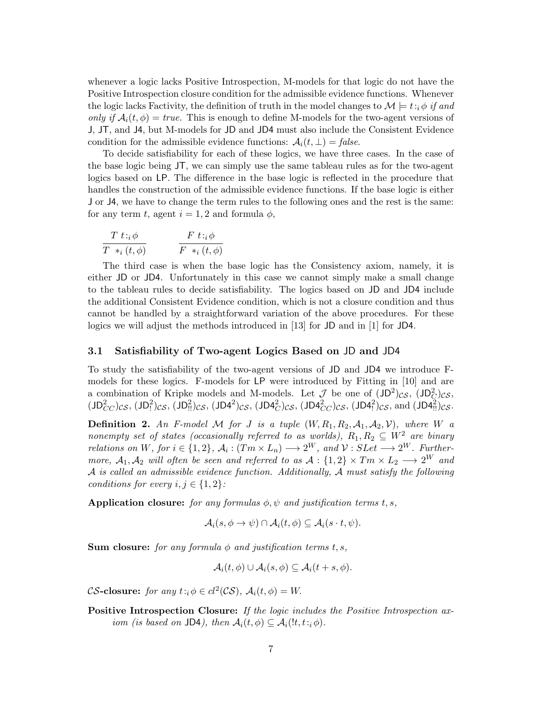whenever a logic lacks Positive Introspection, M-models for that logic do not have the Positive Introspection closure condition for the admissible evidence functions. Whenever the logic lacks Factivity, the definition of truth in the model changes to  $\mathcal{M} \models t:_{i} \phi$  if and only if  $A_i(t, \phi) = true$ . This is enough to define M-models for the two-agent versions of J, JT, and J4, but M-models for JD and JD4 must also include the Consistent Evidence condition for the admissible evidence functions:  $A_i(t, \perp) = \text{false}$ .

To decide satisfiability for each of these logics, we have three cases. In the case of the base logic being JT, we can simply use the same tableau rules as for the two-agent logics based on LP. The difference in the base logic is reflected in the procedure that handles the construction of the admissible evidence functions. If the base logic is either J or J4, we have to change the term rules to the following ones and the rest is the same: for any term t, agent  $i = 1, 2$  and formula  $\phi$ ,

$$
\frac{T \ t :_{i} \phi}{T \ *\_{i} (t, \phi)} \qquad \qquad \frac{F \ t :_{i} \phi}{F \ *\_{i} (t, \phi)}
$$

The third case is when the base logic has the Consistency axiom, namely, it is either JD or JD4. Unfortunately in this case we cannot simply make a small change to the tableau rules to decide satisfiability. The logics based on JD and JD4 include the additional Consistent Evidence condition, which is not a closure condition and thus cannot be handled by a straightforward variation of the above procedures. For these logics we will adjust the methods introduced in [13] for JD and in [1] for JD4.

### 3.1 Satisfiability of Two-agent Logics Based on JD and JD4

To study the satisfiability of the two-agent versions of JD and JD4 we introduce Fmodels for these logics. F-models for LP were introduced by Fitting in [10] and are a combination of Kripke models and M-models. Let  $\mathcal J$  be one of  $(JD^2)_{CS}$ ,  $(JD^2_C)_{CS}$ ,  $(JD_{CC}^2)_{CS}$ ,  $(JD_!^2)_{CS}$ ,  $(JD_!^2)_{CS}$ ,  $(JD4^2)_{CS}$ ,  $(JD4^2_C)_{CS}$ ,  $(JD4^2_C)_{CS}$ ,  $(JD4^2_C)_{CS}$ , and  $(JD4^2_E)_{CS}$ .

**Definition 2.** An F-model M for J is a tuple  $(W, R_1, R_2, A_1, A_2, V)$ , where W a nonempty set of states (occasionally referred to as worlds),  $R_1, R_2 \subseteq W^2$  are binary relations on W, for  $i \in \{1,2\}$ ,  $\mathcal{A}_i : (Tm \times L_n) \longrightarrow 2^W$ , and  $\mathcal{V} : SLet \longrightarrow 2^W$ . Furthermore,  $A_1, A_2$  will often be seen and referred to as  $A: \{1,2\} \times T_m \times L_2 \longrightarrow 2^W$  and A is called an admissible evidence function. Additionally, A must satisfy the following conditions for every  $i, j \in \{1, 2\}$ :

Application closure: for any formulas  $\phi, \psi$  and justification terms t, s,

$$
\mathcal{A}_i(s, \phi \to \psi) \cap \mathcal{A}_i(t, \phi) \subseteq \mathcal{A}_i(s \cdot t, \psi).
$$

**Sum closure:** for any formula  $\phi$  and justification terms t, s,

$$
\mathcal{A}_i(t,\phi) \cup \mathcal{A}_i(s,\phi) \subseteq \mathcal{A}_i(t+s,\phi).
$$

CS-closure: for any  $t : i \phi \in cl^2(\mathcal{CS})$ ,  $\mathcal{A}_i(t, \phi) = W$ .

Positive Introspection Closure: If the logic includes the Positive Introspection axiom (is based on JD4), then  $A_i(t, \phi) \subseteq A_i(l, t_i, \phi)$ .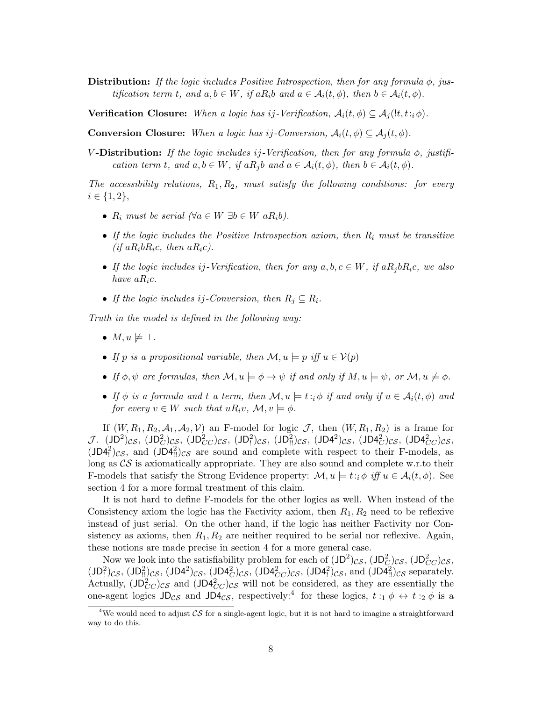Distribution: If the logic includes Positive Introspection, then for any formula  $\phi$ , justification term t, and  $a, b \in W$ , if  $aR_i b$  and  $a \in \mathcal{A}_i(t, \phi)$ , then  $b \in \mathcal{A}_i(t, \phi)$ .

**Verification Closure:** When a logic has ij-Verification,  $A_i(t, \phi) \subseteq A_i(t, t_i, \phi)$ .

**Conversion Closure:** When a logic has ij-Conversion,  $A_i(t, \phi) \subseteq A_i(t, \phi)$ .

V-Distribution: If the logic includes i.j-Verification, then for any formula  $\phi$ , justification term t, and  $a, b \in W$ , if  $aR_i b$  and  $a \in \mathcal{A}_i(t, \phi)$ , then  $b \in \mathcal{A}_i(t, \phi)$ .

The accessibility relations,  $R_1, R_2$ , must satisfy the following conditions: for every  $i \in \{1, 2\},\$ 

- $R_i$  must be serial  $(\forall a \in W \exists b \in W \ aR_i b).$
- If the logic includes the Positive Introspection axiom, then  $R_i$  must be transitive (if  $aR_i bR_i c$ , then  $aR_i c$ ).
- If the logic includes ij-Verification, then for any  $a, b, c \in W$ , if  $aR_j bR_i c$ , we also have  $aR_ic$ .
- If the logic includes ij-Conversion, then  $R_j \subseteq R_i$ .

Truth in the model is defined in the following way:

- $M, u \not\models \bot.$
- If p is a propositional variable, then  $\mathcal{M}, u \models p$  iff  $u \in V(p)$
- If  $\phi, \psi$  are formulas, then  $\mathcal{M}, u \models \phi \rightarrow \psi$  if and only if  $M, u \models \psi$ , or  $\mathcal{M}, u \not\models \phi$ .
- If  $\phi$  is a formula and t a term, then  $\mathcal{M}, u \models t : \phi$  if and only if  $u \in \mathcal{A}_i(t, \phi)$  and for every  $v \in W$  such that  $uR_i v$ ,  $\mathcal{M}, v \models \phi$ .

If  $(W, R_1, R_2, A_1, A_2, V)$  an F-model for logic J, then  $(W, R_1, R_2)$  is a frame for  $J.$  (JD<sup>2</sup>)cs, (JD<sub>C</sub>)cs, (JD<sub>C</sub>)cs, (JD<sub>1</sub><sup>2</sup>)cs, (JD<sub>1</sub><sup>2</sup>)cs, (JD4<sup>2</sup>)cs, (JD4<sup>2</sup>c)cs, (JD4<sup>2</sup>cc)cs,  $(JD4_i^2)_{CS}$ , and  $(JD4_{\cdot\cdot}^2)_{CS}$  are sound and complete with respect to their F-models, as long as  $\mathcal{CS}$  is axiomatically appropriate. They are also sound and complete w.r.to their F-models that satisfy the Strong Evidence property:  $\mathcal{M}, u \models t : \phi \text{ iff } u \in \mathcal{A}_i(t, \phi)$ . See section 4 for a more formal treatment of this claim.

It is not hard to define F-models for the other logics as well. When instead of the Consistency axiom the logic has the Factivity axiom, then  $R_1, R_2$  need to be reflexive instead of just serial. On the other hand, if the logic has neither Factivity nor Consistency as axioms, then  $R_1, R_2$  are neither required to be serial nor reflexive. Again, these notions are made precise in section 4 for a more general case.

Now we look into the satisfiability problem for each of  $(JD^2)_{CS}$ ,  $(JD^2_{C} )_{CS}$ ,  $(JD^2_{CC})_{CS}$ ,  $(JD_1^2)c_s$ ,  $(JD_{1!}^2)c_s$ ,  $(JD4^2)c_s$ ,  $(JD4^2c)c_s$ ,  $(JD4^2c_c)c_s$ ,  $(JD4^2c_s)c_s$ , and  $(JD4^2c_s)c_s$  separately. Actually,  $J\Box_{CC}^2/cs$  and  $J\Box_{CC}^2/cs$  will not be considered, as they are essentially the one-agent logics  $JD_{CS}$  and  $JD_{CS}$ , respectively:<sup>4</sup> for these logics,  $t :_1 \phi \leftrightarrow t :_2 \phi$  is a

<sup>&</sup>lt;sup>4</sup>We would need to adjust  $\mathcal{CS}$  for a single-agent logic, but it is not hard to imagine a straightforward way to do this.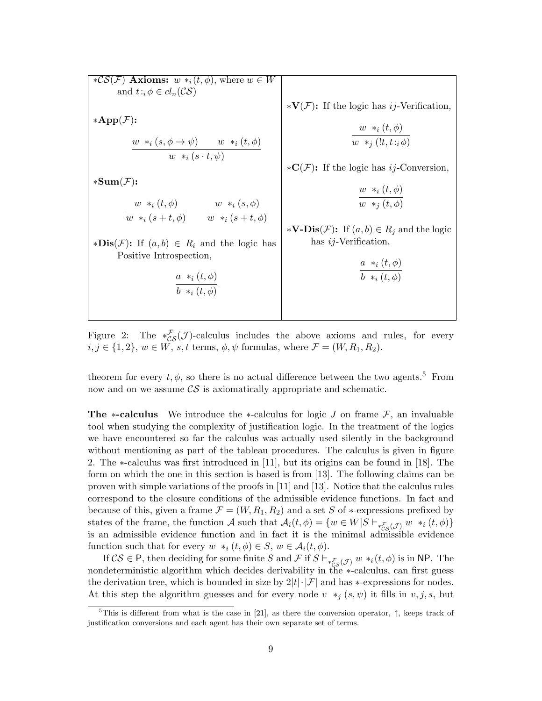$*{\mathcal{CS}}(\mathcal{F})$  Axioms:  $w *_i(t, \phi)$ , where  $w \in W$ and  $t:_{i} \phi \in cl_n(\mathcal{CS})$  $*App(F):$  $w *_{i} (s, \phi \rightarrow \psi) \qquad w *_{i} (t, \phi)$  $w *_{i} (s \cdot t, \psi)$  $\ast Sum(\mathcal{F})$ :  $w *_{i} (t, \phi)$  $w *_{i} (s + t, \phi)$  $w *_{i}(s, \phi)$  $w *_{i} (s + t, \phi)$  $\ast$ **Dis**(*F*): If  $(a, b) \in R_i$  and the logic has Positive Introspection,  $a *_{i} (t, \phi)$  $b *_{i} (t, \phi)$  $*V(\mathcal{F})$ : If the logic has *ij*-Verification,  $w *_{i} (t, \phi)$  $w *_{j} (!t, t :_{i} \phi)$  $\ast\mathbf{C}(\mathcal{F})$ : If the logic has *ij*-Conversion,  $w *_{i} (t, \phi)$  $w *_{j} (t, \phi)$ ∗**V-Dis** $(F)$ : If  $(a, b) \in R_i$  and the logic has  $ij$ -Verification,  $a *_{i} (t, \phi)$  $b *_{i} (t, \phi)$ 

Figure 2: The \* $\mathcal{L}_{\mathcal{S}}(\mathcal{J})$ -calculus includes the above axioms and rules, for every  $i, j \in \{1, 2\}, w \in W$ , s, t terms,  $\phi, \psi$  formulas, where  $\mathcal{F} = (W, R_1, R_2)$ .

theorem for every  $t, \phi$ , so there is no actual difference between the two agents.<sup>5</sup> From now and on we assume  $\mathcal{CS}$  is axiomatically appropriate and schematic.

The ∗-calculus We introduce the ∗-calculus for logic J on frame  $\mathcal{F}$ , an invaluable tool when studying the complexity of justification logic. In the treatment of the logics we have encountered so far the calculus was actually used silently in the background without mentioning as part of the tableau procedures. The calculus is given in figure 2. The ∗-calculus was first introduced in [11], but its origins can be found in [18]. The form on which the one in this section is based is from [13]. The following claims can be proven with simple variations of the proofs in [11] and [13]. Notice that the calculus rules correspond to the closure conditions of the admissible evidence functions. In fact and because of this, given a frame  $\mathcal{F} = (W, R_1, R_2)$  and a set S of  $*$ -expressions prefixed by states of the frame, the function A such that  $\mathcal{A}_i(t, \phi) = \{w \in W | S \vdash_{* \mathcal{F}_S(\mathcal{J})} w *_{i}(t, \phi)\}\$ is an admissible evidence function and in fact it is the minimal admissible evidence function such that for every  $w *_{i} (t, \phi) \in S$ ,  $w \in \mathcal{A}_{i}(t, \phi)$ .

If  $CS \in \mathsf{P}$ , then deciding for some finite S and F if  $S \vdash_{* \mathcal{F}_S(\mathcal{J})} w *_{i}(t, \phi)$  is in NP. The nondeterministic algorithm which decides derivability in the ∗-calculus, can first guess the derivation tree, which is bounded in size by  $2|t|\cdot|\mathcal{F}|$  and has ∗-expressions for nodes. At this step the algorithm guesses and for every node v  $*_j$  (s,  $\psi$ ) it fills in v, j, s, but

<sup>&</sup>lt;sup>5</sup>This is different from what is the case in [21], as there the conversion operator,  $\uparrow$ , keeps track of justification conversions and each agent has their own separate set of terms.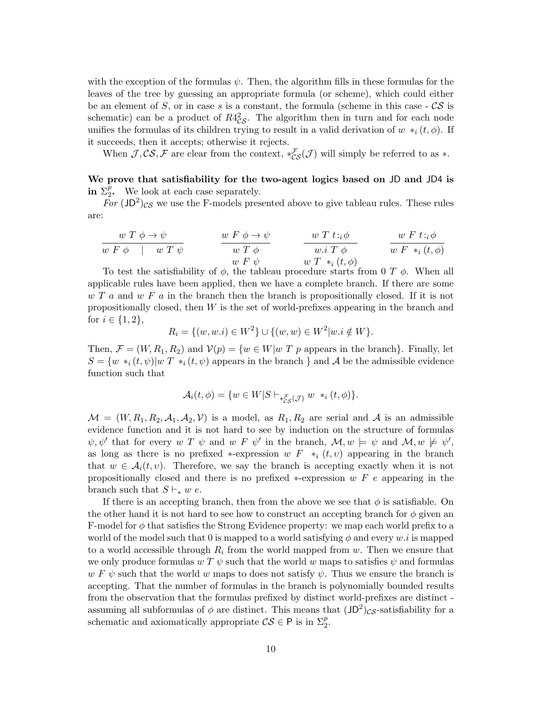with the exception of the formulas  $\psi$ . Then, the algorithm fills in these formulas for the leaves of the tree by guessing an appropriate formula (or scheme), which could either be an element of S, or in case s is a constant, the formula (scheme in this case  $-\mathcal{CS}$  is schematic) can be a product of  $R4^2_{CS}$ . The algorithm then in turn and for each node unifies the formulas of its children trying to result in a valid derivation of  $w *_{i} (t, \phi)$ . If it succeeds, then it accepts; otherwise it rejects.

When  $J, CS, F$  are clear from the context,  $*_{CS}^{L}(J)$  will simply be referred to as  $*$ .

We prove that satisfiability for the two-agent logics based on JD and JD4 is in  $\Sigma_2^p$ . We look at each case separately.

For  $\left(\text{JD}^2\right)_{\text{CS}}$  we use the F-models presented above to give tableau rules. These rules are:

$$
\begin{array}{c|c}\n\hline\nw T \phi \rightarrow \psi & w F \phi \rightarrow \psi \\
\hline\nw F \phi & w T \psi & w T \phi & w T t : \phi \\
\hline\nw F \psi & w F \psi & w T *_{i} (t, \phi) \\
\hline\n\end{array}
$$
\nTo test the satisfiability of  $\phi$ , the tableau procedure starts from 0  $T \phi$ . When all

applicable rules have been applied, then we have a complete branch. If there are some  $w T a$  and  $w F a$  in the branch then the branch is propositionally closed. If it is not propositionally closed, then W is the set of world-prefixes appearing in the branch and for  $i \in \{1, 2\},\$ 

$$
R_i = \{(w, w.i) \in W^2\} \cup \{(w, w) \in W^2 | w.i \notin W\}.
$$

Then,  $\mathcal{F} = (W, R_1, R_2)$  and  $\mathcal{V}(p) = \{w \in W | w| T p$  appears in the branch}. Finally, let  $S = \{w *_{i}(t, \psi)|w T *_{i}(t, \psi)$  appears in the branch } and A be the admissible evidence function such that

$$
\mathcal{A}_i(t,\phi) = \{ w \in W | S \vdash_{*_{CS}^{\mathcal{F}}}(\mathcal{J}) w *_{i} (t,\phi) \}.
$$

 $\mathcal{M} = (W, R_1, R_2, \mathcal{A}_1, \mathcal{A}_2, \mathcal{V})$  is a model, as  $R_1, R_2$  are serial and  $\mathcal{A}$  is an admissible evidence function and it is not hard to see by induction on the structure of formulas  $\psi, \psi'$  that for every w T  $\psi$  and w F  $\psi'$  in the branch,  $\mathcal{M}, w \models \psi$  and  $\mathcal{M}, w \not\models \psi'$ , as long as there is no prefixed  $*$ -expression w  $F *_{i} (t, v)$  appearing in the branch that  $w \in \mathcal{A}_i(t, v)$ . Therefore, we say the branch is accepting exactly when it is not propositionally closed and there is no prefixed  $*$ -expression w F e appearing in the branch such that  $S \vdash_* w e$ .

If there is an accepting branch, then from the above we see that  $\phi$  is satisfiable. On the other hand it is not hard to see how to construct an accepting branch for  $\phi$  given an F-model for  $\phi$  that satisfies the Strong Evidence property: we map each world prefix to a world of the model such that 0 is mapped to a world satisfying  $\phi$  and every w.i is mapped to a world accessible through  $R_i$  from the world mapped from  $w$ . Then we ensure that we only produce formulas  $w T \psi$  such that the world w maps to satisfies  $\psi$  and formulas  $w F \psi$  such that the world w maps to does not satisfy  $\psi$ . Thus we ensure the branch is accepting. That the number of formulas in the branch is polynomially bounded results from the observation that the formulas prefixed by distinct world-prefixes are distinct assuming all subformulas of  $\phi$  are distinct. This means that  $(JD^2)_{CS}$ -satisfiability for a schematic and axiomatically appropriate  $\mathcal{CS} \in \mathsf{P}$  is in  $\Sigma_2^p$ .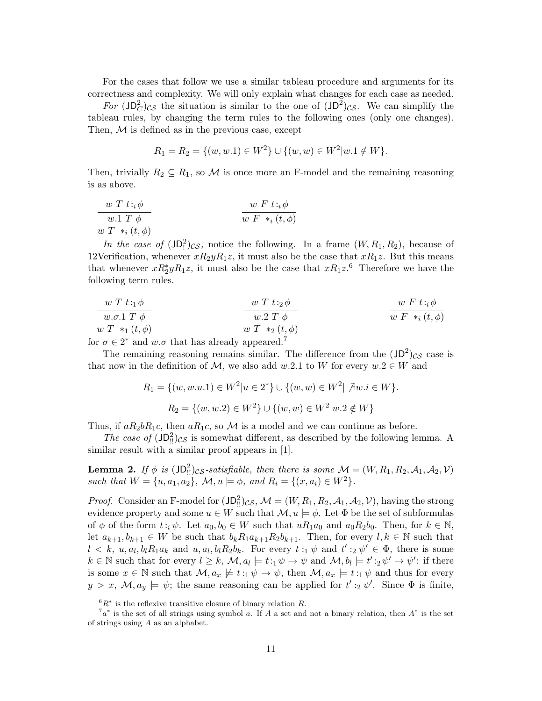For the cases that follow we use a similar tableau procedure and arguments for its correctness and complexity. We will only explain what changes for each case as needed.

For  $\left(\text{JD}_C^2\right)_{CS}$  the situation is similar to the one of  $\left(\text{JD}^2\right)_{CS}$ . We can simplify the tableau rules, by changing the term rules to the following ones (only one changes). Then,  $M$  is defined as in the previous case, except

$$
R_1 = R_2 = \{(w, w.1) \in W^2\} \cup \{(w, w) \in W^2 | w.1 \notin W\}.
$$

Then, trivially  $R_2 \subseteq R_1$ , so M is once more an F-model and the remaining reasoning is as above.

$$
\begin{array}{c}\n\frac{w T t : i \phi}{w . 1 T \phi} \\
\frac{w T * i}{w F * i} \\
\frac{w F t : i \phi}{w F * i} \\
\frac{w F t : i \phi}{w F * i} \\
\frac{w F t : i \phi}{w F * i} \\
\frac{w F t : i \phi}{w F * i} \\
\frac{w F t : i \phi}{w F * i} \\
\frac{w F t : i \phi}{w F * i} \\
\frac{w F t : i \phi}{w F * i} \\
\frac{w F t : i \phi}{w F * i} \\
\frac{w F t : i \phi}{w F * i} \\
\frac{w F t : i \phi}{w F * i} \\
\frac{w F t : i \phi}{w F * i} \\
\frac{w F t : i \phi}{w F * i} \\
\frac{w F t : i \phi}{w F * i} \\
\frac{w F t : i \phi}{w F * i} \\
\frac{w F t : i \phi}{w F * i} \\
\frac{w F t : i \phi}{w F * i} \\
\frac{w F t : i \phi}{w F * i} \\
\frac{w F t : i \phi}{w F * i} \\
\frac{w F t : i \phi}{w F * i} \\
\frac{w F t : i \phi}{w F * i} \\
\frac{w F t : i \phi}{w F * i} \\
\frac{w F t : i \phi}{w F * i} \\
\frac{w F t : i \phi}{w F * i} \\
\frac{w F t : i \phi}{w F * i} \\
\frac{w F t : i \phi}{w F * i} \\
\frac{w F t : i \phi}{w F * i} \\
\frac{w F t : i \phi}{w F * i} \\
\frac{w F t : i \phi}{w F * i} \\
\frac{w F t : i \phi}{w F * i} \\
\frac{w F t : i \phi}{w F * i} \\
\frac{w F t : i \phi}{w F * i} \\
\frac{w F t : i \phi}{w F * i} \\
\frac{w F t : i \phi}{w F * i} \\
\frac{w F t : i \phi}{w F * i} \\
\frac{w F t : i \phi}{w F * i} \\
\frac{w F t : i \phi}{w F * i} \\
\frac{w F t : i \phi}{w F * i} \\
\frac{w F t : i \phi}{w F * i} \\
\frac{w F t : i \phi}{w F * i} \\
\frac{w F t : i \phi}{w F * i} \\
\frac{w F t : i \phi}{w F * i} \\
\frac{w F t : i \phi}{w F * i} \\
\frac{w
$$

In the case of  $(JD_1^2)_{CS}$ , notice the following. In a frame  $(W, R_1, R_2)$ , because of 12Verification, whenever  $xR_2yR_1z$ , it must also be the case that  $xR_1z$ . But this means that whenever  $xR_2^*yR_1z$ , it must also be the case that  $xR_1z$ .<sup>6</sup> Therefore we have the following term rules.

| \n $\begin{array}{c}\n w T t :_{1} \phi \\  w \ldots T \end{array}$ \n               | \n $\begin{array}{c}\n w T t :_{2} \phi \\  w \ldots T \end{array}$ \n | \n $\begin{array}{c}\n w F t :_{i} \phi \\  w \ldots T \end{array}$ \n |
|--------------------------------------------------------------------------------------|------------------------------------------------------------------------|------------------------------------------------------------------------|
| \n $\begin{array}{c}\n w T *_{i} (t, \phi) \\  w T *_{2} (t, \phi)\n \end{array}$ \n |                                                                        |                                                                        |

for  $\sigma \in 2^*$  and  $w.\sigma$  that has already appeared.<sup>7</sup>

The remaining reasoning remains similar. The difference from the  $(JD^2)_{CS}$  case is that now in the definition of  $M$ , we also add w.2.1 to W for every  $w.2 \in W$  and

$$
R_1 = \{(w, w.u.1) \in W^2 | u \in 2^*\} \cup \{(w, w) \in W^2 | \nexists w.i \in W\}.
$$
  

$$
R_2 = \{(w, w.2) \in W^2\} \cup \{(w, w) \in W^2 | w.2 \notin W\}
$$

Thus, if  $aR_2bR_1c$ , then  $aR_1c$ , so M is a model and we can continue as before.

The case of  $(JD<sub>II</sub><sup>2</sup>)<sub>C</sub>S$  is somewhat different, as described by the following lemma. A similar result with a similar proof appears in [1].

**Lemma 2.** If  $\phi$  is  $\left( \text{JD}_{\text{II}}^2 \right)_{\text{CS}}$ -satisfiable, then there is some  $\mathcal{M} = (W, R_1, R_2, \mathcal{A}_1, \mathcal{A}_2, \mathcal{V})$ such that  $W = \{u, a_1, a_2\}$ ,  $\mathcal{M}, u \models \phi$ , and  $R_i = \{(x, a_i) \in W^2\}$ .

*Proof.* Consider an F-model for  $(JD_{\text{II}}^2)_{CS}$ ,  $\mathcal{M} = (W, R_1, R_2, A_1, A_2, V)$ , having the strong evidence property and some  $u \in W$  such that  $\mathcal{M}, u \models \phi$ . Let  $\Phi$  be the set of subformulas of  $\phi$  of the form  $t : i \psi$ . Let  $a_0, b_0 \in W$  such that  $u R_1 a_0$  and  $a_0 R_2 b_0$ . Then, for  $k \in \mathbb{N}$ , let  $a_{k+1}, b_{k+1} \in W$  be such that  $b_k R_1 a_{k+1} R_2 b_{k+1}$ . Then, for every  $l, k \in \mathbb{N}$  such that  $l \lt k, u, a_l, b_l R_1 a_k$  and  $u, a_l, b_l R_2 b_k$ . For every  $t :_1 \psi$  and  $t' :_2 \psi' \in \Phi$ , there is some  $k \in \mathbb{N}$  such that for every  $l \geq k$ ,  $\mathcal{M}, a_l \models t:_1 \psi \rightarrow \psi$  and  $\mathcal{M}, b_l \models t':_2 \psi' \rightarrow \psi'$ : if there is some  $x \in \mathbb{N}$  such that  $\mathcal{M}, a_x \not\models t :_1 \psi \rightarrow \psi$ , then  $\mathcal{M}, a_x \models t :_1 \psi$  and thus for every  $y > x, \mathcal{M}, a_y \models \psi$ ; the same reasoning can be applied for  $t' :_2 \psi'$ . Since  $\Phi$  is finite,

 ${}^{6}R^*$  is the reflexive transitive closure of binary relation R.

<sup>7</sup>*a*<sup>∗</sup> is the set of all strings using symbol *a*. If *A* a set and not a binary relation, then *A*<sup>∗</sup> is the set of strings using *A* as an alphabet.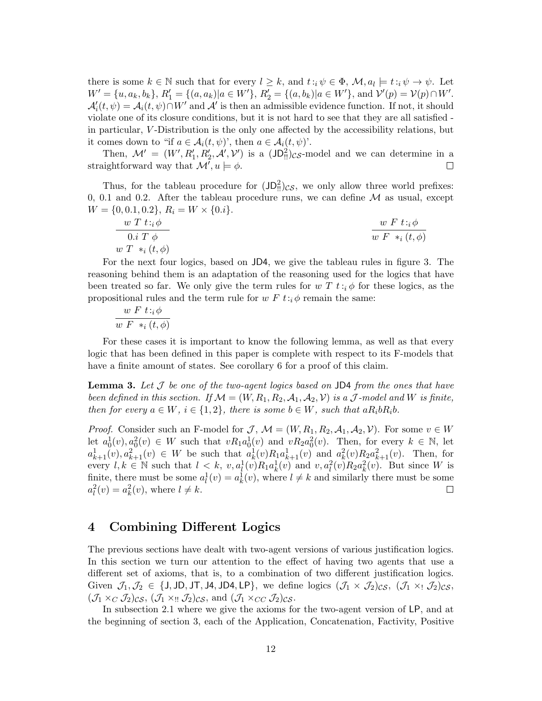there is some  $k \in \mathbb{N}$  such that for every  $l \geq k$ , and  $t : i \psi \in \Phi$ ,  $\mathcal{M}, a_l \models t : i \psi \rightarrow \psi$ . Let  $W' = \{u, a_k, b_k\}, R'_1 = \{(a, a_k)|a \in W'\}, R'_2 = \{(a, b_k)|a \in W'\}, \text{ and } \mathcal{V}'(p) = \mathcal{V}(p) \cap W'.$  $\mathcal{A}'_i(t, \psi) = \mathcal{A}_i(t, \psi) \cap W'$  and  $\mathcal{A}'$  is then an admissible evidence function. If not, it should violate one of its closure conditions, but it is not hard to see that they are all satisfied in particular, V -Distribution is the only one affected by the accessibility relations, but it comes down to "if  $a \in \mathcal{A}_i(t, \psi)$ ", then  $a \in \mathcal{A}_i(t, \psi)$ ".

Then,  $\mathcal{M}' = (W', R'_1, R'_2, \mathcal{A}', \mathcal{V}')$  is a  $(JD_{\text{II}}^2)_{\mathcal{CS}}$ -model and we can determine in a straightforward way that  $\mathcal{M}'$ ,  $u \models \phi$ .

Thus, for the tableau procedure for  $(JD_{\text{II}}^2)_{CS}$ , we only allow three world prefixes: 0, 0.1 and 0.2. After the tableau procedure runs, we can define  $\mathcal M$  as usual, except  $W = \{0, 0.1, 0.2\}, R_i = W \times \{0.i\}.$ 

$$
\frac{w T t : i \phi}{0. i T \phi}
$$
\n
$$
\frac{w F t : i \phi}{w F *_{i} (t, \phi)}
$$
\n
$$
\frac{w F t : i \phi}{w F *_{i} (t, \phi)}
$$

For the next four logics, based on JD4, we give the tableau rules in figure 3. The reasoning behind them is an adaptation of the reasoning used for the logics that have been treated so far. We only give the term rules for  $w T t : i \phi$  for these logics, as the propositional rules and the term rule for  $w F t : i \phi$  remain the same:

$$
\frac{w F t : i \phi}{w F *_{i} (t, \phi)}
$$

For these cases it is important to know the following lemma, as well as that every logic that has been defined in this paper is complete with respect to its F-models that have a finite amount of states. See corollary 6 for a proof of this claim.

**Lemma 3.** Let  $\mathcal J$  be one of the two-agent logics based on JD4 from the ones that have been defined in this section. If  $\mathcal{M} = (W, R_1, R_2, A_1, A_2, V)$  is a  $\mathcal J$ -model and W is finite, then for every  $a \in W$ ,  $i \in \{1,2\}$ , there is some  $b \in W$ , such that  $aR_i bR_i b$ .

*Proof.* Consider such an F-model for  $\mathcal{J}, \mathcal{M} = (W, R_1, R_2, \mathcal{A}_1, \mathcal{A}_2, \mathcal{V})$ . For some  $v \in W$ let  $a_0^1(v), a_0^2(v) \in W$  such that  $vR_1a_0^1(v)$  and  $vR_2a_0^2(v)$ . Then, for every  $k \in \mathbb{N}$ , let  $a_{k+1}^1(v), a_{k+1}^2(v) \in W$  be such that  $a_k^1(v)R_1a_{k+1}^1(v)$  and  $a_k^2(v)R_2a_{k+1}^2(v)$ . Then, for every  $l, k \in \mathbb{N}$  such that  $l < k$ ,  $v, a_l^1(v)R_1a_k^1(v)$  and  $v, a_l^2(v)R_2a_k^2(v)$ . But since W is finite, there must be some  $a_l^1(v) = a_k^1(v)$ , where  $l \neq k$  and similarly there must be some  $a_l^2(v) = a_k^2(v)$ , where  $l \neq k$ .

## 4 Combining Different Logics

The previous sections have dealt with two-agent versions of various justification logics. In this section we turn our attention to the effect of having two agents that use a different set of axioms, that is, to a combination of two different justification logics. Given  $\mathcal{J}_1,\mathcal{J}_2\in\{J,JD,JT,J4,JD4,LP\}$ , we define logics  $(\mathcal{J}_1\times\mathcal{J}_2)_{CS}$ ,  $(\mathcal{J}_1\times\mathcal{J}_2)_{CS}$ ,  $(\mathcal{J}_1 \times_C \mathcal{J}_2)$ cs,  $(\mathcal{J}_1 \times_{II} \mathcal{J}_2)$ cs, and  $(\mathcal{J}_1 \times_{CC} \mathcal{J}_2)$ cs.

In subsection 2.1 where we give the axioms for the two-agent version of LP, and at the beginning of section 3, each of the Application, Concatenation, Factivity, Positive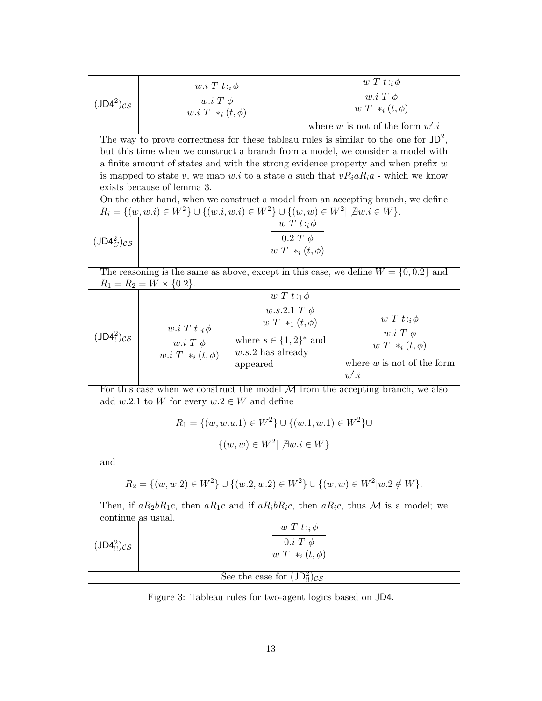| $(JD4^2)_{CS}$                                                                                                                 | $w.i T t :_{i} \phi$                            |                                                                                                  | $w T t :_{i} \phi$                   |  |  |  |  |
|--------------------------------------------------------------------------------------------------------------------------------|-------------------------------------------------|--------------------------------------------------------------------------------------------------|--------------------------------------|--|--|--|--|
|                                                                                                                                | $w.i T \phi$                                    |                                                                                                  | $w.i T \phi$                         |  |  |  |  |
|                                                                                                                                | $w.i T *_{i} (t, \phi)$                         |                                                                                                  | $w T *_i (t, \phi)$                  |  |  |  |  |
|                                                                                                                                |                                                 |                                                                                                  | where w is not of the form $w'.i$    |  |  |  |  |
|                                                                                                                                |                                                 | The way to prove correctness for these tableau rules is similar to the one for $JD^2$ ,          |                                      |  |  |  |  |
|                                                                                                                                |                                                 | but this time when we construct a branch from a model, we consider a model with                  |                                      |  |  |  |  |
|                                                                                                                                |                                                 | a finite amount of states and with the strong evidence property and when prefix $w$              |                                      |  |  |  |  |
|                                                                                                                                |                                                 | is mapped to state v, we map w.i to a state a such that $vR_iaR_ia$ - which we know              |                                      |  |  |  |  |
|                                                                                                                                | exists because of lemma 3.                      |                                                                                                  |                                      |  |  |  |  |
| On the other hand, when we construct a model from an accepting branch, we define                                               |                                                 |                                                                                                  |                                      |  |  |  |  |
| $R_i = \{(w, w.i) \in W^2\} \cup \{(w.i, w.i) \in W^2\} \cup \{(w, w) \in W^2 \mid \exists w.i \in W\}.$<br>$w T t :_{i} \phi$ |                                                 |                                                                                                  |                                      |  |  |  |  |
|                                                                                                                                | $0.2 T \phi$                                    |                                                                                                  |                                      |  |  |  |  |
| $(JD4_C^2)_{CS}$                                                                                                               | $w T *_i (t, \phi)$                             |                                                                                                  |                                      |  |  |  |  |
|                                                                                                                                |                                                 |                                                                                                  |                                      |  |  |  |  |
|                                                                                                                                |                                                 | The reasoning is the same as above, except in this case, we define $W = \{0, 0.2\}$ and          |                                      |  |  |  |  |
|                                                                                                                                | $R_1 = R_2 = W \times \{0.2\}.$                 |                                                                                                  |                                      |  |  |  |  |
|                                                                                                                                |                                                 | $w T t :_1 \phi$                                                                                 |                                      |  |  |  |  |
|                                                                                                                                |                                                 | $w.s.2.1 T \phi$                                                                                 | $w T t :_{i} \phi$                   |  |  |  |  |
|                                                                                                                                | $w.i T t :_{i} \phi$                            | $w T *_{1} (t, \phi)$                                                                            | $\overline{w.i\ T\ \phi}$            |  |  |  |  |
| $(JD4)$ <sub>!</sub> $)$ <i>cs</i>                                                                                             | $\overline{w.i\ T\ \phi}$                       | where $s \in \{1,2\}^*$ and                                                                      | $w T *_i (t, \phi)$                  |  |  |  |  |
|                                                                                                                                | $w.i T *_{i} (t, \phi)$                         | $w.s.2$ has already                                                                              |                                      |  |  |  |  |
|                                                                                                                                |                                                 | appeared                                                                                         | where $w$ is not of the form<br>w'.i |  |  |  |  |
|                                                                                                                                |                                                 |                                                                                                  |                                      |  |  |  |  |
|                                                                                                                                | add w.2.1 to W for every $w.2 \in W$ and define | For this case when we construct the model $M$ from the accepting branch, we also                 |                                      |  |  |  |  |
|                                                                                                                                |                                                 |                                                                                                  |                                      |  |  |  |  |
| $R_1 = \{(w, w.u.1) \in W^2\} \cup \{(w.1, w.1) \in W^2\} \cup$                                                                |                                                 |                                                                                                  |                                      |  |  |  |  |
| $\{(w,w) \in W^2   \ \exists w.i \in W\}$                                                                                      |                                                 |                                                                                                  |                                      |  |  |  |  |
| and                                                                                                                            |                                                 |                                                                                                  |                                      |  |  |  |  |
|                                                                                                                                |                                                 | $R_2 = \{(w, w.2) \in W^2\} \cup \{(w.2, w.2) \in W^2\} \cup \{(w, w) \in W^2   w.2 \notin W\}.$ |                                      |  |  |  |  |
| continue as usual                                                                                                              |                                                 | Then, if $aR_2bR_1c$ , then $aR_1c$ and if $aR_ibR_ic$ , then $aR_ic$ , thus M is a model; we    |                                      |  |  |  |  |
| $(JD42II)CS$                                                                                                                   |                                                 | $w T t :_{i} \phi$                                                                               |                                      |  |  |  |  |
|                                                                                                                                | $0.i T \phi$                                    |                                                                                                  |                                      |  |  |  |  |
|                                                                                                                                |                                                 | $w T *_i (t, \phi)$                                                                              |                                      |  |  |  |  |
| See the case for $(JD_{\text{II}}^2)_{\text{CS}}$ .                                                                            |                                                 |                                                                                                  |                                      |  |  |  |  |

Figure 3: Tableau rules for two-agent logics based on JD4.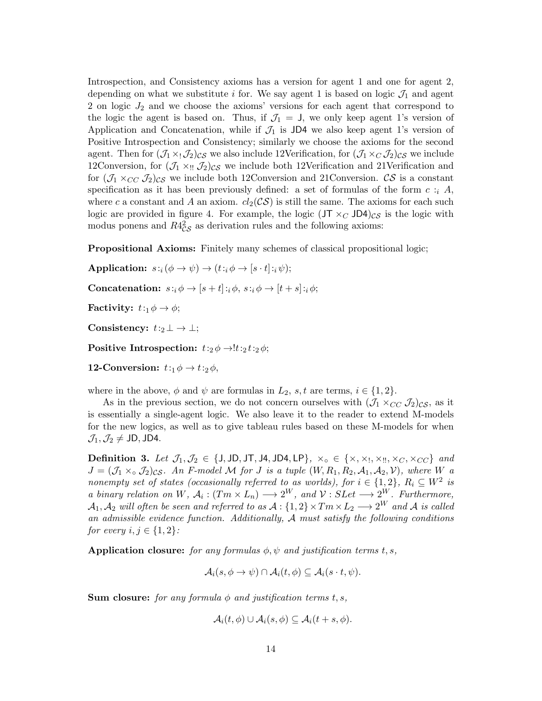Introspection, and Consistency axioms has a version for agent 1 and one for agent 2, depending on what we substitute i for. We say agent 1 is based on logic  $\mathcal{J}_1$  and agent 2 on logic  $J_2$  and we choose the axioms' versions for each agent that correspond to the logic the agent is based on. Thus, if  $\mathcal{J}_1 = J$ , we only keep agent 1's version of Application and Concatenation, while if  $\mathcal{J}_1$  is JD4 we also keep agent 1's version of Positive Introspection and Consistency; similarly we choose the axioms for the second agent. Then for  $(\mathcal{J}_1 \times \mathcal{J}_2)_{CS}$  we also include 12Verification, for  $(\mathcal{J}_1 \times_C \mathcal{J}_2)_{CS}$  we include 12Conversion, for  $(\mathcal{J}_1 \times_{\mathfrak{U}} \mathcal{J}_2)_{\mathcal{CS}}$  we include both 12Verification and 21Verification and for  $(\mathcal{J}_1 \times_{CC} \mathcal{J}_2)_{CS}$  we include both 12Conversion and 21Conversion. CS is a constant specification as it has been previously defined: a set of formulas of the form  $c : i \, A$ , where c a constant and A an axiom.  $cl_2(\mathcal{CS})$  is still the same. The axioms for each such logic are provided in figure 4. For example, the logic  $(JT \times_C JD4)_{CS}$  is the logic with modus ponens and  $R4_{\text{CS}}^2$  as derivation rules and the following axioms:

Propositional Axioms: Finitely many schemes of classical propositional logic;

Application:  $s:_{i}(\phi \rightarrow \psi) \rightarrow (t:_{i} \phi \rightarrow [s \cdot t]:_{i} \psi);$ 

Concatenation:  $s: i \phi \rightarrow [s+t]: i \phi, s: i \phi \rightarrow [t+s]: i \phi;$ 

**Factivity:**  $t: \phi \to \phi$ ;

Consistency:  $t:2 \perp \rightarrow \perp$ ;

Positive Introspection:  $t:2 \phi \rightarrow t:2 t:2 \phi$ ;

12-Conversion:  $t:1 \phi \rightarrow t:2 \phi$ ,

where in the above,  $\phi$  and  $\psi$  are formulas in  $L_2$ , s, t are terms,  $i \in \{1, 2\}$ .

As in the previous section, we do not concern ourselves with  $(\mathcal{J}_1 \times_{CC} \mathcal{J}_2)_{CS}$ , as it is essentially a single-agent logic. We also leave it to the reader to extend M-models for the new logics, as well as to give tableau rules based on these M-models for when  $\mathcal{J}_1,\mathcal{J}_2\neq$  JD, JD4.

Definition 3. Let  $\mathcal{J}_1,\mathcal{J}_2\in\{\text{J},\text{JD},\text{JT},\text{J4},\text{JD4},\text{LP}\},\ x_\circ\in\{x,x_1,x_1,x_C,x_{CC}\}$  and  $J = (\mathcal{J}_1 \times_{\circ} \mathcal{J}_2)_{\text{CS}}$ . An F-model M for J is a tuple  $(W, R_1, R_2, \mathcal{A}_1, \mathcal{A}_2, V)$ , where W a nonempty set of states (occasionally referred to as worlds), for  $i \in \{1,2\}$ ,  $R_i \subseteq W^2$  is a binary relation on W,  $A_i : (Tm \times L_n) \longrightarrow 2^W$ , and  $\mathcal{V} : SLet \longrightarrow 2^W$ . Furthermore,  $\mathcal{A}_1, \mathcal{A}_2$  will often be seen and referred to as  $\mathcal{A}: \{1,2\} \times Tm \times L_2 \longrightarrow 2^W$  and  $\mathcal{A}$  is called an admissible evidence function. Additionally,  $A$  must satisfy the following conditions for every  $i, j \in \{1, 2\}$ :

Application closure: for any formulas  $\phi, \psi$  and justification terms t, s,

$$
\mathcal{A}_i(s, \phi \to \psi) \cap \mathcal{A}_i(t, \phi) \subseteq \mathcal{A}_i(s \cdot t, \psi).
$$

**Sum closure:** for any formula  $\phi$  and justification terms t, s,

$$
\mathcal{A}_i(t,\phi) \cup \mathcal{A}_i(s,\phi) \subseteq \mathcal{A}_i(t+s,\phi).
$$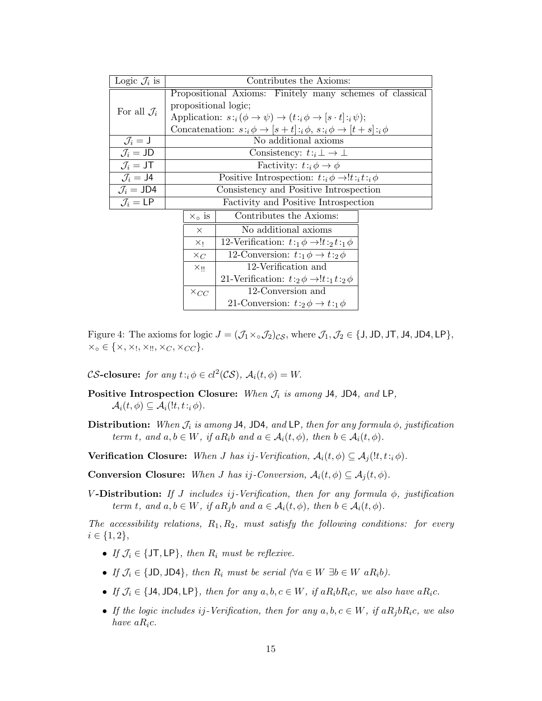| Logic $\mathcal{J}_i$ is      | Contributes the Axioms:                                                                                   |                                                            |  |  |  |
|-------------------------------|-----------------------------------------------------------------------------------------------------------|------------------------------------------------------------|--|--|--|
|                               |                                                                                                           | Propositional Axioms: Finitely many schemes of classical   |  |  |  |
| For all $\mathcal{J}_i$       | propositional logic;                                                                                      |                                                            |  |  |  |
|                               | Application: $s:_{i}(\phi \rightarrow \psi) \rightarrow (t:_{i} \phi \rightarrow [s \cdot t]:_{i} \psi);$ |                                                            |  |  |  |
|                               | Concatenation: $s: \phi \to [s+t]: \phi, s: \phi \to [t+s]: \phi$                                         |                                                            |  |  |  |
| $\mathcal{J}_i = \mathsf{J}$  | No additional axioms                                                                                      |                                                            |  |  |  |
| $\mathcal{J}_i = JD$          | Consistency: $t:_{i} \perp \rightarrow \perp$                                                             |                                                            |  |  |  |
| $\mathcal{J}_i = \mathsf{JT}$ | Factivity: $t: \phi \to \phi$                                                                             |                                                            |  |  |  |
| $\mathcal{J}_i = \mathsf{J}4$ | Positive Introspection: $t:_{i} \phi \rightarrow !t:_{i} t:_{i} \phi$                                     |                                                            |  |  |  |
| $\mathcal{J}_i = JD4$         | Consistency and Positive Introspection                                                                    |                                                            |  |  |  |
| $\mathcal{J}_i = \mathsf{LP}$ |                                                                                                           | Factivity and Positive Introspection                       |  |  |  |
|                               | $X_0$ is                                                                                                  | Contributes the Axioms:                                    |  |  |  |
|                               | $\times$                                                                                                  | No additional axioms                                       |  |  |  |
|                               | $\times$                                                                                                  | 12-Verification: $t:_{1}\phi \rightarrow t:_{2}t:_{1}\phi$ |  |  |  |
|                               | $\times_C$                                                                                                | 12-Conversion: $t:_{1}\phi \rightarrow t:_{2}\phi$         |  |  |  |
|                               | $X_{\parallel}$                                                                                           | 12-Verification and                                        |  |  |  |
|                               |                                                                                                           | 21-Verification: $t:2 \phi \rightarrow !t:1 t:2 \phi$      |  |  |  |
|                               | $\times_{CC}$                                                                                             | 12-Conversion and                                          |  |  |  |

Figure 4: The axioms for logic  $J = (\mathcal{J}_1 \times \mathcal{J}_2)_{\mathcal{CS}}$ , where  $\mathcal{J}_1, \mathcal{J}_2 \in \{\text{J}, \text{JD}, \text{JT}, \text{JA}, \text{JD4}, \text{LP}\},$  $x_0 \in \{x, x_1, x_2, x_C, x_{CC}\}.$ 

21-Conversion:  $t:2 \phi \rightarrow t:1 \phi$ 

CS-closure: for any  $t :_{i} \phi \in cl^{2}(\mathcal{CS}), \mathcal{A}_{i}(t, \phi) = W.$ 

- Positive Introspection Closure: When  $\mathcal{J}_i$  is among J4, JD4, and LP,  $\mathcal{A}_i(t,\phi) \subseteq \mathcal{A}_i(t,t:i,\phi)$ .
- Distribution: When  $\mathcal{J}_i$  is among J4, JD4, and LP, then for any formula  $\phi$ , justification term t, and  $a, b \in W$ , if  $aR_i b$  and  $a \in \mathcal{A}_i(t, \phi)$ , then  $b \in \mathcal{A}_i(t, \phi)$ .
- **Verification Closure:** When *J* has ij-Verification,  $A_i(t, \phi) \subseteq A_i(!t, t_i, \phi)$ .

**Conversion Closure:** When *J* has ij-Conversion,  $A_i(t, \phi) \subseteq A_i(t, \phi)$ .

V-Distribution: If J includes ij-Verification, then for any formula  $\phi$ , justification term t, and  $a, b \in W$ , if  $a R_i b$  and  $a \in \mathcal{A}_i(t, \phi)$ , then  $b \in \mathcal{A}_i(t, \phi)$ .

The accessibility relations,  $R_1, R_2$ , must satisfy the following conditions: for every  $i \in \{1, 2\},\$ 

- If  $\mathcal{J}_i \in \{\text{JT}, \text{LP}\},\$  then  $R_i$  must be reflexive.
- If  $\mathcal{J}_i \in \{\text{JD}, \text{JD4}\},\$  then  $R_i$  must be serial  $(\forall a \in W \exists b \in W \ aR_i b).$
- If  $\mathcal{J}_i \in \{\text{JA}, \text{JD4}, \text{LP}\}\$ , then for any  $a, b, c \in W$ , if  $aR_i bR_i c$ , we also have  $aR_i c$ .
- If the logic includes ij-Verification, then for any  $a, b, c \in W$ , if  $aR_j bR_i c$ , we also have  $aR_ic$ .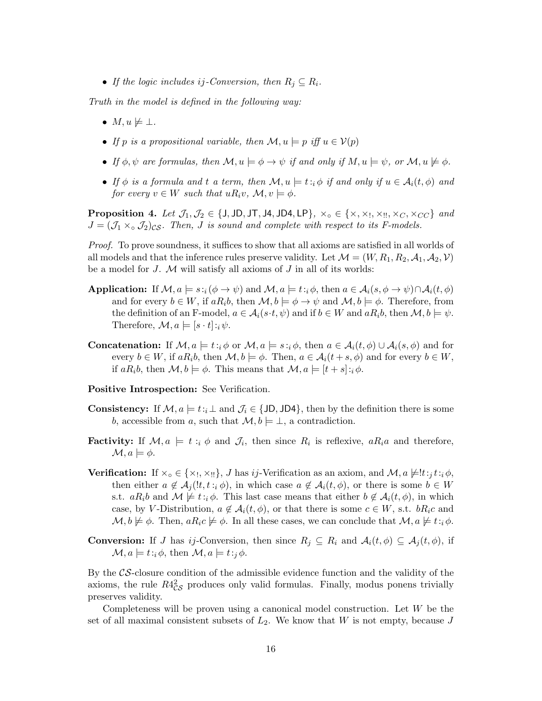• If the logic includes ij-Conversion, then  $R_i \subseteq R_i$ .

Truth in the model is defined in the following way:

- $M, u \not\models \bot.$
- If p is a propositional variable, then  $\mathcal{M}, u \models p$  iff  $u \in V(p)$
- If  $\phi, \psi$  are formulas, then  $\mathcal{M}, u \models \phi \rightarrow \psi$  if and only if  $M, u \models \psi$ , or  $\mathcal{M}, u \not\models \phi$ .
- If  $\phi$  is a formula and t a term, then  $\mathcal{M}, u \models t : \phi$  if and only if  $u \in \mathcal{A}_i(t, \phi)$  and for every  $v \in W$  such that  $uR_i v$ ,  $\mathcal{M}, v \models \phi$ .

**Proposition 4.** Let  $\mathcal{J}_1, \mathcal{J}_2 \in \{J, JD, JT, JA, JD4, LP\}$ ,  $\times_o \in \{\times, \times_1, \times_{II}, \times_C, \times_{CC}\}$  and  $J = (\mathcal{J}_1 \times_{\mathcal{O}} \mathcal{J}_2)_{\text{CS}}$ . Then, J is sound and complete with respect to its F-models.

Proof. To prove soundness, it suffices to show that all axioms are satisfied in all worlds of all models and that the inference rules preserve validity. Let  $\mathcal{M} = (W, R_1, R_2, \mathcal{A}_1, \mathcal{A}_2, \mathcal{V})$ be a model for  $J$ .  $M$  will satisfy all axioms of  $J$  in all of its worlds:

- **Application:** If  $\mathcal{M}, a \models s : i(\phi \rightarrow \psi)$  and  $\mathcal{M}, a \models t : i\phi$ , then  $a \in \mathcal{A}_i(s, \phi \rightarrow \psi) \cap \mathcal{A}_i(t, \phi)$ and for every  $b \in W$ , if  $aR_i b$ , then  $\mathcal{M}, b \models \phi \rightarrow \psi$  and  $\mathcal{M}, b \models \phi$ . Therefore, from the definition of an F-model,  $a \in \mathcal{A}_i(s \cdot t, \psi)$  and if  $b \in W$  and  $aR_i b$ , then  $\mathcal{M}, b \models \psi$ . Therefore,  $\mathcal{M}, a \models [s \cdot t] : i \psi$ .
- **Concatenation:** If  $\mathcal{M}, a \models t : i \phi$  or  $\mathcal{M}, a \models s : i \phi$ , then  $a \in \mathcal{A}_i(t, \phi) \cup \mathcal{A}_i(s, \phi)$  and for every  $b \in W$ , if  $aR_i b$ , then  $\mathcal{M}, b \models \phi$ . Then,  $a \in \mathcal{A}_i(t+s, \phi)$  and for every  $b \in W$ , if  $aR_ib$ , then  $\mathcal{M}, b \models \phi$ . This means that  $\mathcal{M}, a \models [t + s]:_i \phi$ .

Positive Introspection: See Verification.

- **Consistency:** If  $\mathcal{M}, a \models t : \downarrow$  and  $\mathcal{J}_i \in \{\text{JD}, \text{JD4}\},$  then by the definition there is some b, accessible from a, such that  $\mathcal{M}, b \models \bot$ , a contradiction.
- **Factivity:** If  $\mathcal{M}, a \models t : i \phi$  and  $\mathcal{J}_i$ , then since  $R_i$  is reflexive,  $aR_i a$  and therefore,  $\mathcal{M}, a \models \phi.$
- **Verification:** If  $\times_{\text{o}} \in \{\times_1, \times_2\}$ , *J* has *ij*-Verification as an axiom, and  $\mathcal{M}, a \not\models !t:_{i} t:_{i} \phi$ , then either  $a \notin \mathcal{A}_i(l, t : i \phi)$ , in which case  $a \notin \mathcal{A}_i(t, \phi)$ , or there is some  $b \in W$ s.t.  $aR_i b$  and  $\mathcal{M} \not\models t:_{i} \phi$ . This last case means that either  $b \not\in \mathcal{A}_i(t, \phi)$ , in which case, by V-Distribution,  $a \notin \mathcal{A}_i(t, \phi)$ , or that there is some  $c \in W$ , s.t.  $bR_ic$  and  $\mathcal{M}, b \not\models \phi$ . Then,  $aR_ic \not\models \phi$ . In all these cases, we can conclude that  $\mathcal{M}, a \not\models t: i \phi$ .
- **Conversion:** If J has ij-Conversion, then since  $R_j \subseteq R_i$  and  $A_i(t, \phi) \subseteq A_j(t, \phi)$ , if  $\mathcal{M}, a \models t : i \phi$ , then  $\mathcal{M}, a \models t : i \phi$ .

By the CS-closure condition of the admissible evidence function and the validity of the axioms, the rule  $R4_{CS}^2$  produces only valid formulas. Finally, modus ponens trivially preserves validity.

Completeness will be proven using a canonical model construction. Let W be the set of all maximal consistent subsets of  $L_2$ . We know that W is not empty, because J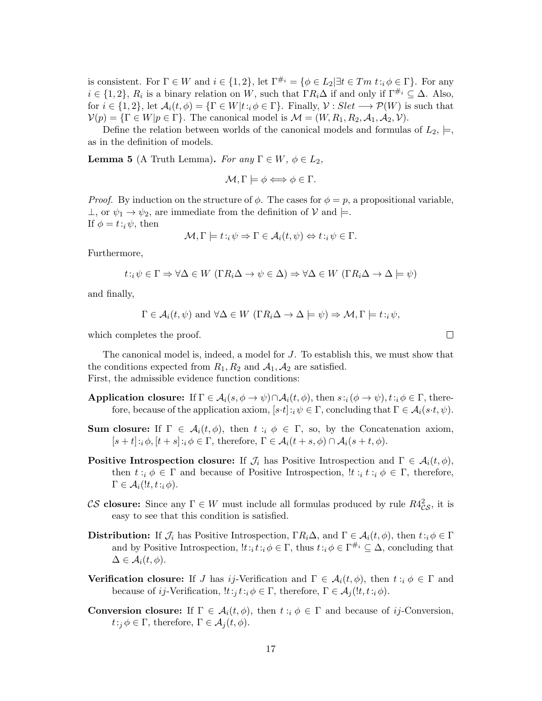is consistent. For  $\Gamma \in W$  and  $i \in \{1,2\}$ , let  $\Gamma^{\#_i} = \{\phi \in L_2 | \exists t \in Tm \ t : i \phi \in \Gamma\}$ . For any  $i \in \{1,2\}, R_i$  is a binary relation on W, such that  $\Gamma R_i \Delta$  if and only if  $\Gamma^{\#_i} \subseteq \Delta$ . Also, for  $i \in \{1,2\}$ , let  $\mathcal{A}_i(t,\phi) = \{\Gamma \in W | t : i \phi \in \Gamma\}$ . Finally,  $\mathcal{V} : Slet \longrightarrow \mathcal{P}(W)$  is such that  $V(p) = {\Gamma \in W | p \in \Gamma}$ . The canonical model is  $\mathcal{M} = (W, R_1, R_2, A_1, A_2, V)$ .

Define the relation between worlds of the canonical models and formulas of  $L_2$ ,  $\models$ , as in the definition of models.

**Lemma 5** (A Truth Lemma). For any  $\Gamma \in W$ ,  $\phi \in L_2$ ,

$$
\mathcal{M}, \Gamma \models \phi \Longleftrightarrow \phi \in \Gamma.
$$

*Proof.* By induction on the structure of  $\phi$ . The cases for  $\phi = p$ , a propositional variable,  $\perp$ , or  $\psi_1 \to \psi_2$ , are immediate from the definition of  $\mathcal V$  and  $\models$ . If  $\phi = t : i \psi$ , then

$$
\mathcal{M}, \Gamma \models t :_{i} \psi \Rightarrow \Gamma \in \mathcal{A}_{i}(t, \psi) \Leftrightarrow t :_{i} \psi \in \Gamma.
$$

Furthermore,

$$
t : i \psi \in \Gamma \Rightarrow \forall \Delta \in W \ (\Gamma R_i \Delta \to \psi \in \Delta) \Rightarrow \forall \Delta \in W \ (\Gamma R_i \Delta \to \Delta \models \psi)
$$

and finally,

$$
\Gamma \in \mathcal{A}_i(t, \psi)
$$
 and  $\forall \Delta \in W$   $(\Gamma R_i \Delta \to \Delta \models \psi) \Rightarrow \mathcal{M}, \Gamma \models t : \psi$ ,

which completes the proof.

The canonical model is, indeed, a model for J. To establish this, we must show that the conditions expected from  $R_1, R_2$  and  $A_1, A_2$  are satisfied. First, the admissible evidence function conditions:

- Application closure: If  $\Gamma \in \mathcal{A}_i(s, \phi \to \psi) \cap \mathcal{A}_i(t, \phi)$ , then  $s : i(\phi \to \psi), t : i \phi \in \Gamma$ , therefore, because of the application axiom,  $[s \cdot t] : i \psi \in \Gamma$ , concluding that  $\Gamma \in \mathcal{A}_i(s \cdot t, \psi)$ .
- **Sum closure:** If  $\Gamma \in \mathcal{A}_i(t, \phi)$ , then  $t : i \phi \in \Gamma$ , so, by the Concatenation axiom,  $[s + t]:_i \phi, [t + s]:_i \phi \in \Gamma$ , therefore,  $\Gamma \in \mathcal{A}_i(t + s, \phi) \cap \mathcal{A}_i(s + t, \phi)$ .
- **Positive Introspection closure:** If  $\mathcal{J}_i$  has Positive Introspection and  $\Gamma \in \mathcal{A}_i(t, \phi)$ , then  $t : i \phi \in \Gamma$  and because of Positive Introspection,  $!t : i \psi \in \Gamma$ , therefore,  $\Gamma \in \mathcal{A}_i(lt,t_i;\phi)$ .
- CS closure: Since any  $\Gamma \in W$  must include all formulas produced by rule  $R4^2_{CS}$ , it is easy to see that this condition is satisfied.
- Distribution: If  $\mathcal{J}_i$  has Positive Introspection,  $\Gamma R_i \Delta$ , and  $\Gamma \in \mathcal{A}_i(t, \phi)$ , then  $t : i \phi \in \Gamma$ and by Positive Introspection,  $!t :_it :_i \phi \in \Gamma$ , thus  $t :_i \phi \in \Gamma^{\#_i} \subseteq \Delta$ , concluding that  $\Delta \in \mathcal{A}_i(t,\phi).$
- **Verification closure:** If J has ij-Verification and  $\Gamma \in \mathcal{A}_i(t,\phi)$ , then  $t : i \phi \in \Gamma$  and because of ij-Verification,  $!t:_{i}t:_{i} \phi \in \Gamma$ , therefore,  $\Gamma \in \mathcal{A}_{i}(!t,t:_{i} \phi)$ .
- **Conversion closure:** If  $\Gamma \in \mathcal{A}_i(t, \phi)$ , then  $t : i \phi \in \Gamma$  and because of *ij*-Conversion,  $t:_{i} \phi \in \Gamma$ , therefore,  $\Gamma \in \mathcal{A}_{i}(t, \phi)$ .

 $\Box$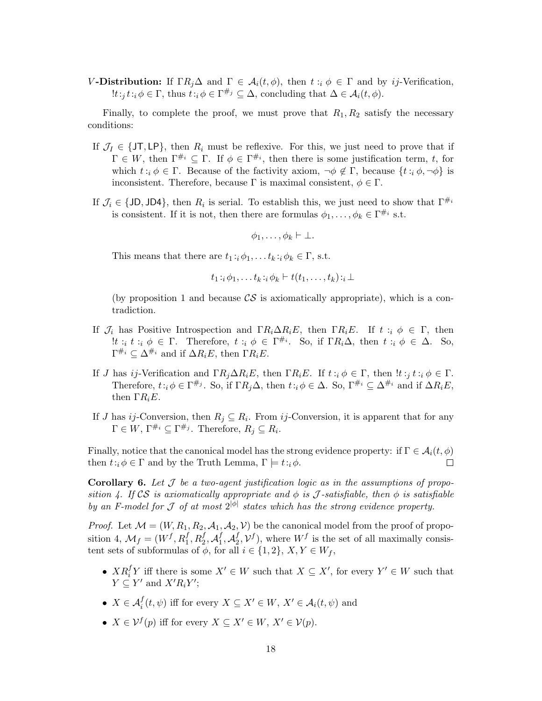V-Distribution: If  $\Gamma R_j \Delta$  and  $\Gamma \in \mathcal{A}_i(t, \phi)$ , then  $t : i \phi \in \Gamma$  and by ij-Verification,  $!t:_i t: i \phi \in \Gamma$ , thus  $t: i \phi \in \Gamma^{\#_j} \subseteq \Delta$ , concluding that  $\Delta \in \mathcal{A}_i(t, \phi)$ .

Finally, to complete the proof, we must prove that  $R_1, R_2$  satisfy the necessary conditions:

- If  $\mathcal{J}_I \in \{J\mathsf{T}, L\mathsf{P}\}\,$ , then  $R_i$  must be reflexive. For this, we just need to prove that if  $\Gamma \in W$ , then  $\Gamma^{\#_i} \subseteq \Gamma$ . If  $\phi \in \Gamma^{\#_i}$ , then there is some justification term, t, for which  $t : i \phi \in \Gamma$ . Because of the factivity axiom,  $\neg \phi \notin \Gamma$ , because  $\{t : i \phi, \neg \phi\}$  is inconsistent. Therefore, because  $\Gamma$  is maximal consistent,  $\phi \in \Gamma$ .
- If  $\mathcal{J}_i \in \{\text{JD}, \text{JD4}\}\$ , then  $R_i$  is serial. To establish this, we just need to show that  $\Gamma^{\#_i}$ is consistent. If it is not, then there are formulas  $\phi_1, \ldots, \phi_k \in \Gamma^{\#_i}$  s.t.

$$
\phi_1,\ldots,\phi_k \vdash \bot.
$$

This means that there are  $t_1 :_{i} \phi_1, \ldots t_k :_{i} \phi_k \in \Gamma$ , s.t.

$$
t_1 :_{i} \phi_1, \ldots t_k :_{i} \phi_k \vdash t(t_1, \ldots, t_k) :_{i} \bot
$$

(by proposition 1 and because  $\mathcal{CS}$  is axiomatically appropriate), which is a contradiction.

- If  $\mathcal{J}_i$  has Positive Introspection and  $\Gamma R_i \Delta R_i E$ , then  $\Gamma R_i E$ . If  $t : i \phi \in \Gamma$ , then !t :<sub>i</sub> t :<sub>i</sub>  $\phi \in \Gamma$ . Therefore, t :<sub>i</sub>  $\phi \in \Gamma^{\#_i}$ . So, if  $\Gamma R_i \Delta$ , then t :<sub>i</sub>  $\phi \in \Delta$ . So,  $\Gamma^{\#_i} \subseteq \Delta^{\#_i}$  and if  $\Delta R_i E$ , then  $\Gamma R_i E$ .
- If J has ij-Verification and  $\Gamma R_i \Delta R_i E$ , then  $\Gamma R_i E$ . If  $t : i \phi \in \Gamma$ , then  $!t : i \phi \in \Gamma$ . Therefore,  $t: i \phi \in \Gamma^{\#_j}$ . So, if  $\Gamma R_i \Delta$ , then  $t: i \phi \in \Delta$ . So,  $\Gamma^{\#_i} \subseteq \Delta^{\#_i}$  and if  $\Delta R_i E$ , then  $\Gamma R_i E$ .
- If J has ij-Conversion, then  $R_j \subseteq R_i$ . From ij-Conversion, it is apparent that for any  $\Gamma \in W$ ,  $\Gamma^{\#_i} \subseteq \Gamma^{\#_j}$ . Therefore,  $R_i \subseteq R_i$ .

Finally, notice that the canonical model has the strong evidence property: if  $\Gamma \in \mathcal{A}_i(t, \phi)$ <br>then  $t : \phi \in \Gamma$  and by the Truth Lemma,  $\Gamma \models t : \phi$ . then  $t: i \phi \in \Gamma$  and by the Truth Lemma,  $\Gamma \models t: i \phi$ .

**Corollary 6.** Let  $\mathcal{J}$  be a two-agent justification logic as in the assumptions of proposition 4. If CS is axiomatically appropriate and  $\phi$  is J-satisfiable, then  $\phi$  is satisfiable by an F-model for J of at most  $2^{|\phi|}$  states which has the strong evidence property.

*Proof.* Let  $M = (W, R_1, R_2, A_1, A_2, V)$  be the canonical model from the proof of proposition 4,  $M_f = (W^f, R_1^f, R_2^f, A_1^f, A_2^f, V^f)$ , where  $W^f$  is the set of all maximally consistent sets of subformulas of  $\phi$ , for all  $i \in \{1,2\}, X, Y \in W_f$ ,

- $XR_i^f Y$  iff there is some  $X' \in W$  such that  $X \subseteq X'$ , for every  $Y' \in W$  such that  $Y \subseteq Y'$  and  $X'R_iY'$ ;
- $X \in \mathcal{A}_i^f(t, \psi)$  iff for every  $X \subseteq X' \in W$ ,  $X' \in \mathcal{A}_i(t, \psi)$  and
- $X \in \mathcal{V}^f(p)$  iff for every  $X \subseteq X' \in W, X' \in \mathcal{V}(p)$ .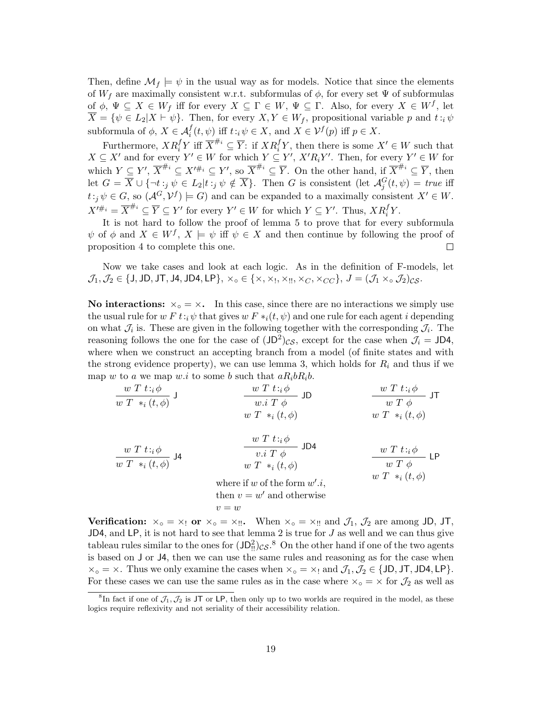Then, define  $\mathcal{M}_f \models \psi$  in the usual way as for models. Notice that since the elements of  $W_f$  are maximally consistent w.r.t. subformulas of  $\phi$ , for every set  $\Psi$  of subformulas of  $\phi$ ,  $\Psi \subseteq X \in W_f$  iff for every  $X \subseteq \Gamma \in W$ ,  $\Psi \subseteq \Gamma$ . Also, for every  $X \in W^f$ , let  $\overline{X} = \{ \psi \in L_2 | X \vdash \psi \}.$  Then, for every  $X, Y \in W_f$ , propositional variable p and  $t : \psi$ subformula of  $\phi$ ,  $X \in \mathcal{A}_i^f(t, \psi)$  iff  $t : i \psi \in X$ , and  $X \in \mathcal{V}^f(p)$  iff  $p \in X$ .

Furthermore,  $XR_i^fY$  iff  $\overline{X}^{\#_i} \subseteq \overline{Y}$ : if  $XR_i^fY$ , then there is some  $X' \in W$  such that  $X \subseteq X'$  and for every  $Y' \in W$  for which  $Y \subseteq Y'$ ,  $X'R_iY'$ . Then, for every  $Y' \in W$  for which  $Y \subseteq Y', \overline{X}^{\#_i} \subseteq X'^{\#_i} \subseteq Y', \text{ so } \overline{X}^{\#_i} \subseteq \overline{Y}.$  On the other hand, if  $\overline{X}^{\#_i} \subseteq \overline{Y}$ , then let  $G = \overline{X} \cup \{\neg t :_j \psi \in L_2 | t :_j \psi \notin \overline{X} \}$ . Then G is consistent (let  $\mathcal{A}_j^G(t, \psi) = \text{true}$  iff  $t:j \,\psi \in G$ , so  $(\mathcal{A}^G,\mathcal{V}^f) \models G$  and can be expanded to a maximally consistent  $X' \in W$ .  $X'^{\#_i} = \overline{X}^{\#_i} \subseteq \overline{Y} \subseteq Y'$  for every  $Y' \in W$  for which  $Y \subseteq Y'$ . Thus,  $XR_i^fY$ .

It is not hard to follow the proof of lemma 5 to prove that for every subformula  $\psi$  of  $\phi$  and  $X \in W^f$ ,  $X \models \psi$  iff  $\psi \in X$  and then continue by following the proof of proposition 4 to complete this one. proposition 4 to complete this one.

Now we take cases and look at each logic. As in the definition of F-models, let  $\mathcal{J}_1,\mathcal{J}_2\in\{\text{J},\text{JD},\text{JT},\text{J4},\text{JD4},\text{LP}\}\text{, } \times_{\text{o}}\in\{\times,\times_{\text{I}},\times_{\text{II}},\times_{\text{C}},\times_{\text{CC}}\}\text{, } J=(\mathcal{J}_1\times_{\text{o}}\mathcal{J}_2)_{\text{CS}}\text{.}$ 

No interactions:  $\times_{\circ} = \times$ . In this case, since there are no interactions we simply use the usual rule for w F t:<sub>i</sub> $\psi$  that gives w F  $*_i(t, \psi)$  and one rule for each agent *i* depending on what  $\mathcal{J}_i$  is. These are given in the following together with the corresponding  $\mathcal{J}_i$ . The reasoning follows the one for the case of  $(JD^2)_{CS}$ , except for the case when  $\mathcal{J}_i = JD4$ , where when we construct an accepting branch from a model (of finite states and with the strong evidence property), we can use lemma 3, which holds for  $R_i$  and thus if we map w to a we map w.i to some b such that  $aR_i bR_i b$ .

| $w T t : i \phi$ | $w T t : i \phi$ | $w T t : i \phi$ | $w T t : i \phi$ | $w T t : i \phi$ | $w T \phi$ | $w T \phi$ | $w T \phi$ | $w T \phi$ | $w T \phi$ | $w T \phi$ | $w T \phi$ | $w T \phi$ | $w T \phi$ | $w T \phi$ | $w T \phi$ | $w T \phi$ | $w T \phi$ | $w T \phi$ | $w T \phi$ | $w T \phi$ | $w T \phi$ | $w T \phi$ | $w T \phi$ | $w T \phi$ | $w T \phi$ | $w T \phi$ | $w T \phi$ | $w T \phi$ | $w T \phi$ | $w T \phi$ | $w T \phi$ | $w T \phi$ | $w T \phi$ | $w T \phi$ | $w T \phi$ | $w T \phi$ | $w T \phi$ | $w T \phi$ | $w T \phi$ | $w T \phi$ | $w T \phi$ | $w T \phi$ | $w T \phi$ | $w T \phi$ | $w T \phi$ | $w T \phi$ | $w T \phi$ | $w T \phi$ | $w T \phi$ | $w T \phi$ | $w T \phi$ | $w T \phi$ | $w T \phi$ | $w T \phi$ | $w T \phi$ | $w T \phi$ |
|------------------|------------------|------------------|------------------|------------------|------------|------------|------------|------------|------------|------------|------------|------------|------------|------------|------------|------------|------------|------------|------------|------------|------------|------------|------------|------------|------------|------------|------------|------------|------------|------------|------------|------------|------------|------------|------------|------------|------------|------------|------------|------------|------------|------------|------------|------------|------------|------------|------------|------------|------------|------------|------------|------------|------------|------------|------------|------------|
|------------------|------------------|------------------|------------------|------------------|------------|------------|------------|------------|------------|------------|------------|------------|------------|------------|------------|------------|------------|------------|------------|------------|------------|------------|------------|------------|------------|------------|------------|------------|------------|------------|------------|------------|------------|------------|------------|------------|------------|------------|------------|------------|------------|------------|------------|------------|------------|------------|------------|------------|------------|------------|------------|------------|------------|------------|------------|------------|

Verification:  $x_{\circ} = x_!$  or  $x_{\circ} = x_{\circ}$ . When  $x_{\circ} = x_{\circ}$  and  $\mathcal{J}_1$ ,  $\mathcal{J}_2$  are among JD, JT,  $JD4$ , and  $LP$ , it is not hard to see that lemma 2 is true for  $J$  as well and we can thus give tableau rules similar to the ones for  $(JD_{!!}^2)_{CS}$ .<sup>8</sup> On the other hand if one of the two agents is based on J or J4, then we can use the same rules and reasoning as for the case when  $x_{\circ} = x$ . Thus we only examine the cases when  $x_{\circ} = x_1$  and  $\mathcal{J}_1, \mathcal{J}_2 \in \{JD, JT, JD4, LP\}$ . For these cases we can use the same rules as in the case where  $\times$ ° =  $\times$  for  $\mathcal{J}_2$  as well as

<sup>&</sup>lt;sup>8</sup>In fact if one of  $\mathcal{J}_1, \mathcal{J}_2$  is JT or LP, then only up to two worlds are required in the model, as these logics require reflexivity and not seriality of their accessibility relation.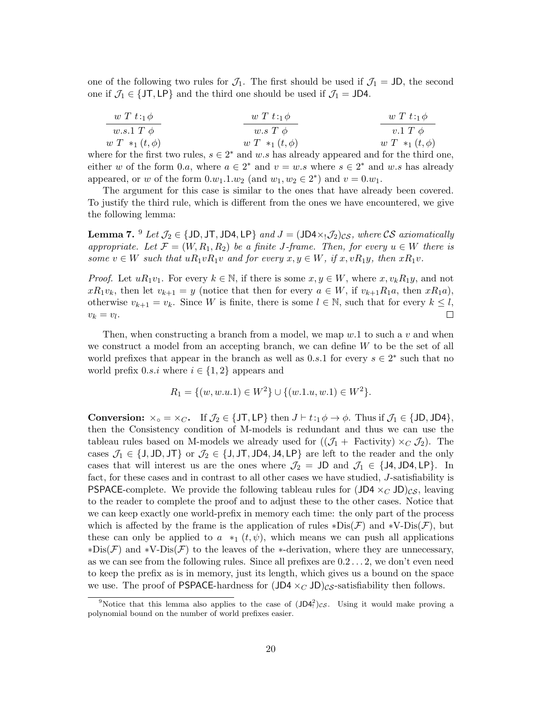one of the following two rules for  $\mathcal{J}_1$ . The first should be used if  $\mathcal{J}_1 = JD$ , the second one if  $\mathcal{J}_1 \in \{JT, LP\}$  and the third one should be used if  $\mathcal{J}_1 = JD4$ .

$$
\begin{array}{c|c}\n w T t : {}_{1}\phi \\
 \hline\n w.s.1 T \phi \\
 w T *_{1}(t, \phi) \\
 \end{array}\n \qquad\n \begin{array}{c|c}\n w T t : {}_{1}\phi \\
 \hline\n w.s T \phi \\
 \hline\n w T *_{1}(t, \phi) \\
 \end{array}\n \qquad\n \begin{array}{c|c}\n w T t : {}_{1}\phi \\
 \hline\n v.1 T \phi \\
 \hline\n w T *_{1}(t, \phi)\n \end{array}
$$

where for the first two rules,  $s \in 2^*$  and w.s has already appeared and for the third one, either w of the form 0.a, where  $a \in 2^*$  and  $v = w.s$  where  $s \in 2^*$  and w.s has already appeared, or w of the form  $0.w_1.1.w_2$  (and  $w_1, w_2 \in 2^*$ ) and  $v = 0.w_1$ .

The argument for this case is similar to the ones that have already been covered. To justify the third rule, which is different from the ones we have encountered, we give the following lemma:

**Lemma 7.**  $9$  Let  $\mathcal{J}_2 \in \{JD, JT, JD4, LP\}$  and  $J = (JD4 \times_1 \mathcal{J}_2)_{CS}$ , where CS axiomatically appropriate. Let  $\mathcal{F} = (W, R_1, R_2)$  be a finite J-frame. Then, for every  $u \in W$  there is some  $v \in W$  such that  $uR_1vR_1v$  and for every  $x, y \in W$ , if  $x, vR_1y$ , then  $xR_1v$ .

*Proof.* Let  $uR_1v_1$ . For every  $k \in \mathbb{N}$ , if there is some  $x, y \in W$ , where  $x, v_kR_1y$ , and not  $xR_1v_k$ , then let  $v_{k+1} = y$  (notice that then for every  $a \in W$ , if  $v_{k+1}R_1a$ , then  $xR_1a$ ), otherwise  $v_{k+1} = v_k$ . Since W is finite, there is some  $l \in \mathbb{N}$ , such that for every  $k \leq l$ ,  $v_k = v_l$ .  $v_k = v_l$ .

Then, when constructing a branch from a model, we map  $w.1$  to such a v and when we construct a model from an accepting branch, we can define  $W$  to be the set of all world prefixes that appear in the branch as well as 0.s.1 for every  $s \in 2^*$  such that no world prefix  $0.s.i$  where  $i \in \{1,2\}$  appears and

$$
R_1 = \{(w, w.u.1) \in W^2\} \cup \{(w.1.u, w.1) \in W^2\}.
$$

**Conversion:**  $\times_{\circ} = \times_C$ . If  $\mathcal{J}_2 \in \{J\mathsf{T}, \mathsf{LP}\}\$  then  $J \vdash t :_1 \phi \to \phi$ . Thus if  $\mathcal{J}_1 \in \{J\mathsf{D}, J\mathsf{D}4\}$ , then the Consistency condition of M-models is redundant and thus we can use the tableau rules based on M-models we already used for  $((\mathcal{J}_1 +$  Factivity)  $\times_C \mathcal{J}_2)$ . The cases  $\mathcal{J}_1 \in \{J, JD, JT\}$  or  $\mathcal{J}_2 \in \{J, JT, JD4, LP\}$  are left to the reader and the only cases that will interest us are the ones where  $\mathcal{J}_2 = JD$  and  $\mathcal{J}_1 \in \{J4, JD4, LP\}$ . In fact, for these cases and in contrast to all other cases we have studied, J-satisfiability is **PSPACE-complete.** We provide the following tableau rules for  $(JD4 \times_C JD)_{CS}$ , leaving to the reader to complete the proof and to adjust these to the other cases. Notice that we can keep exactly one world-prefix in memory each time: the only part of the process which is affected by the frame is the application of rules  $\ast \text{Dis}(\mathcal{F})$  and  $\ast \text{V-Dis}(\mathcal{F})$ , but these can only be applied to a  $*_1(t, \psi)$ , which means we can push all applications  $*Dis(\mathcal{F})$  and  $*V-Dis(\mathcal{F})$  to the leaves of the  $*$ -derivation, where they are unnecessary, as we can see from the following rules. Since all prefixes are 0.2 . . . 2, we don't even need to keep the prefix as is in memory, just its length, which gives us a bound on the space we use. The proof of PSPACE-hardness for  $(JDA \times_C JD)_{CS}$ -satisfiability then follows.

<sup>&</sup>lt;sup>9</sup>Notice that this lemma also applies to the case of  $(JD4_i^2)c_s$ . Using it would make proving a polynomial bound on the number of world prefixes easier.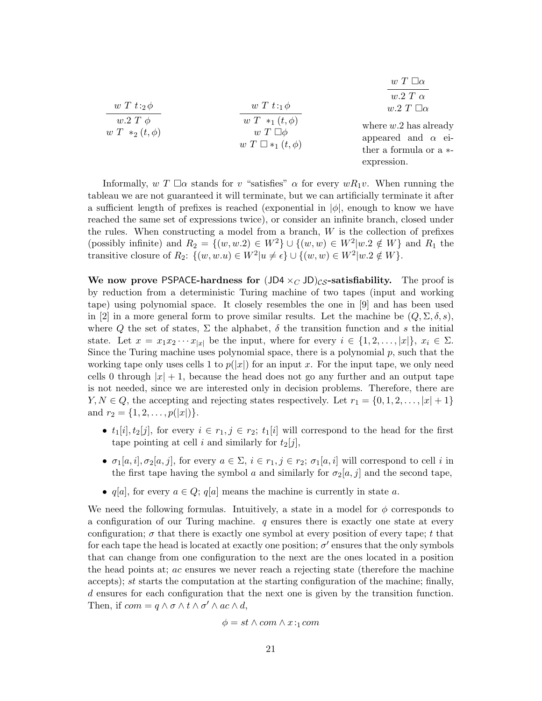| $w T t :_2 \phi$                   | $w T t : A \phi$                                                        | $w T \Box \alpha$<br>$w.2 T \alpha$<br>$w.2 T \Box \alpha$                                       |
|------------------------------------|-------------------------------------------------------------------------|--------------------------------------------------------------------------------------------------|
| $w.2 T \phi$<br>$w T *_2(t, \phi)$ | $w T *_{1} (t, \phi)$<br>$w T \Box \phi$<br>$w T \square *_1 (t, \phi)$ | where $w.2$ has already<br>appeared and $\alpha$ ei-<br>ther a formula or a $*$ -<br>expression. |

Informally,  $w T \Box \alpha$  stands for v "satisfies"  $\alpha$  for every  $wR_1v$ . When running the tableau we are not guaranteed it will terminate, but we can artificially terminate it after a sufficient length of prefixes is reached (exponential in  $|\phi|$ , enough to know we have reached the same set of expressions twice), or consider an infinite branch, closed under the rules. When constructing a model from a branch,  $W$  is the collection of prefixes (possibly infinite) and  $R_2 = \{(w, w.2) \in W^2\} \cup \{(w, w) \in W^2 | w.2 \notin W\}$  and  $R_1$  the transitive closure of  $R_2$ :  $\{(w, w.u) \in W^2 | u \neq \epsilon\} \cup \{(w, w) \in W^2 | w.2 \notin W\}.$ 

We now prove PSPACE-hardness for  $(JDA \times_C JD)_{CS}$ -satisfiability. The proof is by reduction from a deterministic Turing machine of two tapes (input and working tape) using polynomial space. It closely resembles the one in [9] and has been used in [2] in a more general form to prove similar results. Let the machine be  $(Q, \Sigma, \delta, s)$ , where Q the set of states,  $\Sigma$  the alphabet,  $\delta$  the transition function and s the initial state. Let  $x = x_1x_2\cdots x_{|x|}$  be the input, where for every  $i \in \{1, 2, \ldots, |x|\}, x_i \in \Sigma$ . Since the Turing machine uses polynomial space, there is a polynomial  $p$ , such that the working tape only uses cells 1 to  $p(|x|)$  for an input x. For the input tape, we only need cells 0 through  $|x|+1$ , because the head does not go any further and an output tape is not needed, since we are interested only in decision problems. Therefore, there are  $Y, N \in Q$ , the accepting and rejecting states respectively. Let  $r_1 = \{0, 1, 2, \ldots, |x| + 1\}$ and  $r_2 = \{1, 2, \ldots, p(|x|)\}.$ 

- $t_1[i], t_2[j]$ , for every  $i \in r_1, j \in r_2$ ;  $t_1[i]$  will correspond to the head for the first tape pointing at cell i and similarly for  $t_2[j]$ ,
- $\sigma_1[a, i], \sigma_2[a, j]$ , for every  $a \in \Sigma$ ,  $i \in r_1, j \in r_2$ ;  $\sigma_1[a, i]$  will correspond to cell i in the first tape having the symbol a and similarly for  $\sigma_2[a, j]$  and the second tape,
- $q[a]$ , for every  $a \in Q$ ;  $q[a]$  means the machine is currently in state a.

We need the following formulas. Intuitively, a state in a model for  $\phi$  corresponds to a configuration of our Turing machine.  $q$  ensures there is exactly one state at every configuration;  $\sigma$  that there is exactly one symbol at every position of every tape; t that for each tape the head is located at exactly one position;  $\sigma'$  ensures that the only symbols that can change from one configuration to the next are the ones located in a position the head points at; ac ensures we never reach a rejecting state (therefore the machine accepts); st starts the computation at the starting configuration of the machine; finally, d ensures for each configuration that the next one is given by the transition function. Then, if  $com = q \wedge \sigma \wedge t \wedge \sigma' \wedge ac \wedge d$ ,

$$
\phi = st \wedge com \wedge x :_{1} com
$$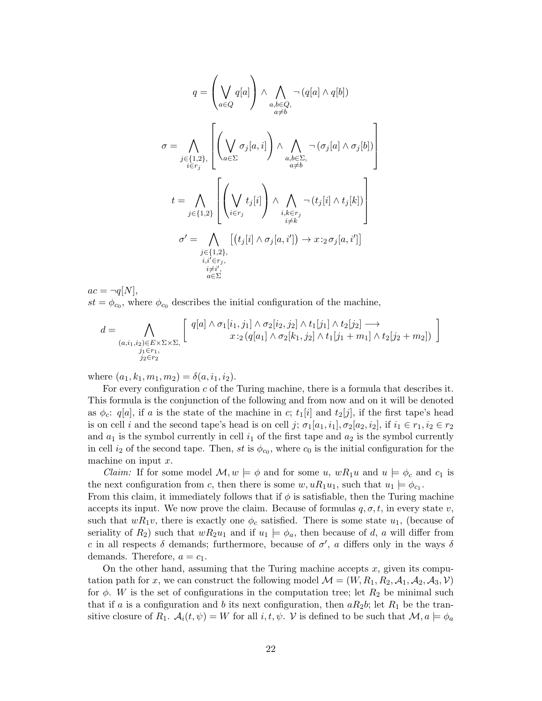$$
q = \left(\bigvee_{a \in Q} q[a] \right) \wedge \bigwedge_{\substack{a,b \in Q, \\ a \neq b}} \neg (q[a] \wedge q[b])
$$
  

$$
\sigma = \bigwedge_{\substack{j \in \{1,2\}, \\ i \in r_j}} \left[ \left(\bigvee_{a \in \Sigma} \sigma_j[a,i] \right) \wedge \bigwedge_{\substack{a,b \in \Sigma, \\ a \neq b}} \neg (\sigma_j[a] \wedge \sigma_j[b]) \right]
$$
  

$$
t = \bigwedge_{j \in \{1,2\}} \left[ \left(\bigvee_{i \in r_j} t_j[i] \right) \wedge \bigwedge_{\substack{i,k \in r_j \\ i \neq k}} \neg (t_j[i] \wedge t_j[k]) \right]
$$
  

$$
\sigma' = \bigwedge_{\substack{j \in \{1,2\}, \\ i,i' \in r_j, \\ a \in \Sigma}} \left[ (t_j[i] \wedge \sigma_j[a,i']) \rightarrow x :_2 \sigma_j[a,i'] \right]
$$

 $ac = \neg q[N],$  $st = \phi_{c_0}$ , where  $\phi_{c_0}$  describes the initial configuration of the machine,

$$
d = \bigwedge_{\substack{(a,i_1,i_2)\in E\times \Sigma\times \Sigma,\\j_1\in r_1,\\j_2\in r_2}} \left[\begin{array}{c}q[a]\wedge \sigma_1[i_1,j_1]\wedge \sigma_2[i_2,j_2]\wedge t_1[j_1]\wedge t_2[j_2]\longrightarrow\\x:_2(q[a_1]\wedge \sigma_2[k_1,j_2]\wedge t_1[j_1+m_1]\wedge t_2[j_2+m_2])\end{array}\right]
$$

where  $(a_1, k_1, m_1, m_2) = \delta(a, i_1, i_2)$ .

For every configuration  $c$  of the Turing machine, there is a formula that describes it. This formula is the conjunction of the following and from now and on it will be denoted as  $\phi_c: q[a],$  if a is the state of the machine in c;  $t_1[i]$  and  $t_2[j],$  if the first tape's head is on cell i and the second tape's head is on cell j;  $\sigma_1[a_1,i_1], \sigma_2[a_2,i_2]$ , if  $i_1 \in r_1, i_2 \in r_2$ and  $a_1$  is the symbol currently in cell  $i_1$  of the first tape and  $a_2$  is the symbol currently in cell  $i_2$  of the second tape. Then, st is  $\phi_{c_0}$ , where  $c_0$  is the initial configuration for the machine on input  $x$ .

*Claim:* If for some model  $\mathcal{M}, w \models \phi$  and for some u,  $wR_1u$  and  $u \models \phi_c$  and  $c_1$  is the next configuration from c, then there is some  $w, uR_1u_1$ , such that  $u_1 \models \phi_{c_1}$ .

From this claim, it immediately follows that if  $\phi$  is satisfiable, then the Turing machine accepts its input. We now prove the claim. Because of formulas  $q, \sigma, t$ , in every state v, such that  $wR_1v$ , there is exactly one  $\phi_c$  satisfied. There is some state  $u_1$ , (because of seriality of  $R_2$ ) such that  $wR_2u_1$  and if  $u_1 \models \phi_a$ , then because of d, a will differ from c in all respects  $\delta$  demands; furthermore, because of  $\sigma'$ , a differs only in the ways  $\delta$ demands. Therefore,  $a = c_1$ .

On the other hand, assuming that the Turing machine accepts  $x$ , given its computation path for x, we can construct the following model  $\mathcal{M} = (W, R_1, R_2, \mathcal{A}_1, \mathcal{A}_2, \mathcal{A}_3, \mathcal{V})$ for  $\phi$ . W is the set of configurations in the computation tree; let  $R_2$  be minimal such that if a is a configuration and b its next configuration, then  $aR_2b$ ; let  $R_1$  be the transitive closure of  $R_1$ .  $\mathcal{A}_i(t, \psi) = W$  for all  $i, t, \psi$ . V is defined to be such that  $\mathcal{M}, a \models \phi_a$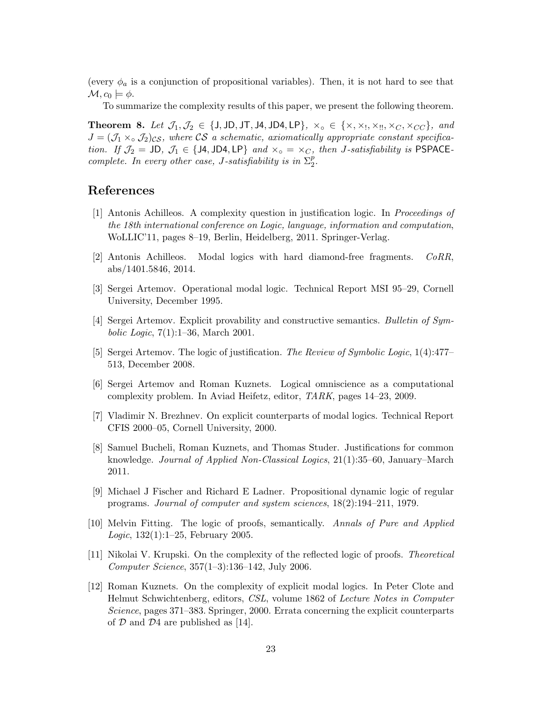(every  $\phi_a$  is a conjunction of propositional variables). Then, it is not hard to see that  $\mathcal{M}, c_0 \models \phi.$ 

To summarize the complexity results of this paper, we present the following theorem.

**Theorem 8.** Let  $\mathcal{J}_1, \mathcal{J}_2 \in \{J, JD, JT, JA, JD4, LP\}$ ,  $\times_{\mathfrak{g}} \in \{\times, \times_1, \times_{\mathfrak{g}}, \times_{\mathfrak{g}}, \times_{\mathfrak{g}}\}$ , and  $J = (\mathcal{J}_1 \times_{\text{o}} \mathcal{J}_2)_{\text{CS}}$ , where CS a schematic, axiomatically appropriate constant specification. If  $\mathcal{J}_2 = \textsf{JD}, \ \mathcal{J}_1 \in \{\textsf{JA}, \textsf{JD4}, \textsf{LP}\}$  and  $\times_{\textsf{o}} = \times_C$ , then J-satisfiability is PSPACEcomplete. In every other case, J-satisfiability is in  $\Sigma_2^p$ .

### References

- [1] Antonis Achilleos. A complexity question in justification logic. In Proceedings of the 18th international conference on Logic, language, information and computation, WoLLIC'11, pages 8–19, Berlin, Heidelberg, 2011. Springer-Verlag.
- [2] Antonis Achilleos. Modal logics with hard diamond-free fragments. CoRR, abs/1401.5846, 2014.
- [3] Sergei Artemov. Operational modal logic. Technical Report MSI 95–29, Cornell University, December 1995.
- [4] Sergei Artemov. Explicit provability and constructive semantics. Bulletin of Symbolic Logic, 7(1):1–36, March 2001.
- [5] Sergei Artemov. The logic of justification. The Review of Symbolic Logic, 1(4):477– 513, December 2008.
- [6] Sergei Artemov and Roman Kuznets. Logical omniscience as a computational complexity problem. In Aviad Heifetz, editor, TARK, pages 14–23, 2009.
- [7] Vladimir N. Brezhnev. On explicit counterparts of modal logics. Technical Report CFIS 2000–05, Cornell University, 2000.
- [8] Samuel Bucheli, Roman Kuznets, and Thomas Studer. Justifications for common knowledge. Journal of Applied Non-Classical Logics, 21(1):35–60, January–March 2011.
- [9] Michael J Fischer and Richard E Ladner. Propositional dynamic logic of regular programs. Journal of computer and system sciences, 18(2):194–211, 1979.
- [10] Melvin Fitting. The logic of proofs, semantically. Annals of Pure and Applied Logic, 132(1):1–25, February 2005.
- [11] Nikolai V. Krupski. On the complexity of the reflected logic of proofs. Theoretical Computer Science, 357(1–3):136–142, July 2006.
- [12] Roman Kuznets. On the complexity of explicit modal logics. In Peter Clote and Helmut Schwichtenberg, editors, CSL, volume 1862 of Lecture Notes in Computer Science, pages 371–383. Springer, 2000. Errata concerning the explicit counterparts of  $D$  and  $D<sub>4</sub>$  are published as [14].